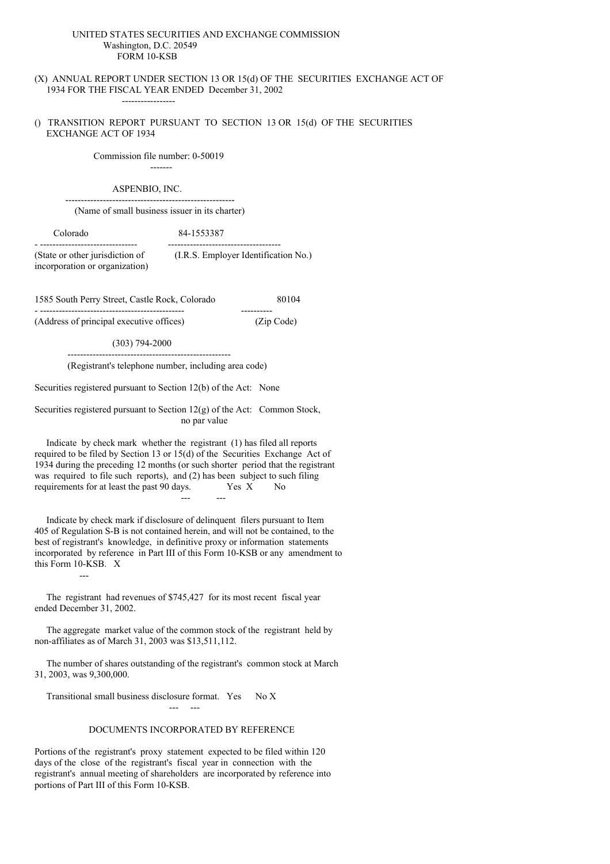### UNITED STATES SECURITIES AND EXCHANGE COMMISSION Washington, D.C. 20549 FORM 10-KSB

(X) ANNUAL REPORT UNDER SECTION 13 OR 15(d) OF THE SECURITIES EXCHANGE ACT OF 1934 FOR THE FISCAL YEAR ENDED December 31, 2002

() TRANSITION REPORT PURSUANT TO SECTION 13 OR 15(d) OF THE SECURITIES EXCHANGE ACT OF 1934

> Commission file number: 0-50019 -------

#### ASPENBIO, INC. ------------------------------------------------------

-----------------

(Name of small business issuer in its charter)

Colorado 84-1553387

- ------------------------------- ------------------------------------ (State or other jurisdiction of (I.R.S. Employer Identification No.) incorporation or organization)

1585 South Perry Street, Castle Rock, Colorado 80104

- ---------------------------------------------- ---------- (Address of principal executive offices) (Zip Code)

(303) 794-2000

---------------------------------------------------- (Registrant's telephone number, including area code)

Securities registered pursuant to Section 12(b) of the Act: None

Securities registered pursuant to Section 12(g) of the Act: Common Stock, no par value

Indicate by check mark whether the registrant (1) has filed all reports required to be filed by Section 13 or 15(d) of the Securities Exchange Act of 1934 during the preceding 12 months (or such shorter period that the registrant was required to file such reports), and (2) has been subject to such filing requirements for at least the past  $90$  days. Yes X --- ---

Indicate by check mark if disclosure of delinquent filers pursuant to Item 405 of Regulation S-B is not contained herein, and will not be contained, to the best of registrant's knowledge, in definitive proxy or information statements incorporated by reference in Part III of this Form 10-KSB or any amendment to this Form 10-KSB. X

The registrant had revenues of \$745,427 for its most recent fiscal year ended December 31, 2002.

---

The aggregate market value of the common stock of the registrant held by non-affiliates as of March 31, 2003 was \$13,511,112.

The number of shares outstanding of the registrant's common stock at March 31, 2003, was 9,300,000.

Transitional small business disclosure format. Yes No X

--- ---

### DOCUMENTS INCORPORATED BY REFERENCE

Portions of the registrant's proxy statement expected to be filed within 120 days of the close of the registrant's fiscal year in connection with the registrant's annual meeting of shareholders are incorporated by reference into portions of Part III of this Form 10-KSB.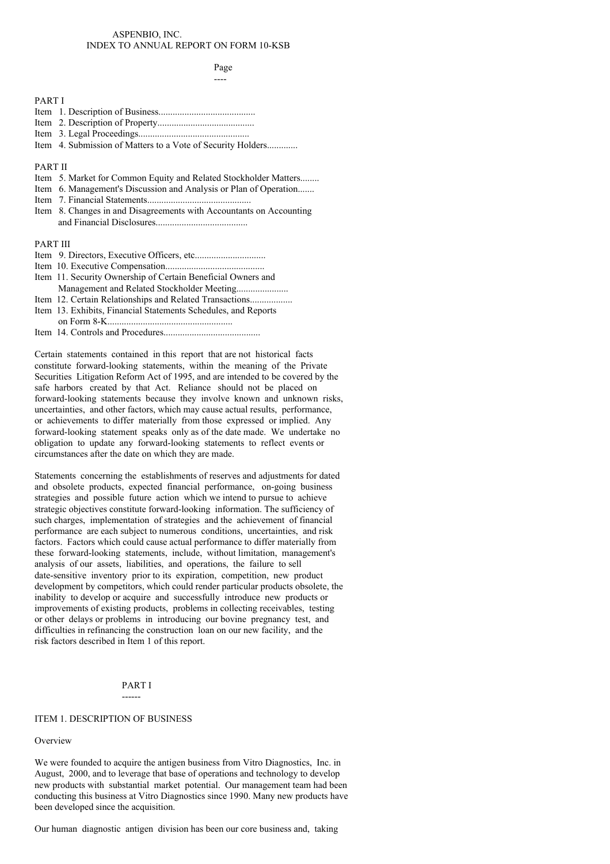## ASPENBIO, INC. INDEX TO ANNUAL REPORT ON FORM 10-KSB

Page

| <b>PARTI</b>                                                        |
|---------------------------------------------------------------------|
|                                                                     |
|                                                                     |
|                                                                     |
| Item 4. Submission of Matters to a Vote of Security Holders         |
| <b>PART II</b>                                                      |
|                                                                     |
| Item 5. Market for Common Equity and Related Stockholder Matters    |
| Item 6. Management's Discussion and Analysis or Plan of Operation   |
|                                                                     |
| Item 8. Changes in and Disagreements with Accountants on Accounting |
|                                                                     |
| <b>PART III</b>                                                     |
|                                                                     |
|                                                                     |
| Item 11. Security Ownership of Certain Beneficial Owners and        |
| Management and Related Stockholder Meeting                          |
|                                                                     |
| Item 13. Exhibits, Financial Statements Schedules, and Reports      |
|                                                                     |
|                                                                     |
|                                                                     |
|                                                                     |

Certain statements contained in this report that are not historical facts constitute forward-looking statements, within the meaning of the Private Securities Litigation Reform Act of 1995, and are intended to be covered by the safe harbors created by that Act. Reliance should not be placed on forward-looking statements because they involve known and unknown risks, uncertainties, and other factors, which may cause actual results, performance, or achievements to differ materially from those expressed or implied. Any forward-looking statement speaks only as of the date made. We undertake no obligation to update any forward-looking statements to reflect events or circumstances after the date on which they are made.

Statements concerning the establishments of reserves and adjustments for dated and obsolete products, expected financial performance, on-going business strategies and possible future action which we intend to pursue to achieve strategic objectives constitute forward-looking information. The sufficiency of such charges, implementation of strategies and the achievement of financial performance are each subject to numerous conditions, uncertainties, and risk factors. Factors which could cause actual performance to differ materially from these forward-looking statements, include, without limitation, management's analysis of our assets, liabilities, and operations, the failure to sell date-sensitive inventory prior to its expiration, competition, new product development by competitors, which could render particular products obsolete, the inability to develop or acquire and successfully introduce new products or improvements of existing products, problems in collecting receivables, testing or other delays or problems in introducing our bovine pregnancy test, and difficulties in refinancing the construction loan on our new facility, and the risk factors described in Item 1 of this report.

## PART I ------

## ITEM 1. DESCRIPTION OF BUSINESS

### Overview

We were founded to acquire the antigen business from Vitro Diagnostics, Inc. in August, 2000, and to leverage that base of operations and technology to develop new products with substantial market potential. Our management team had been conducting this business at Vitro Diagnostics since 1990. Many new products have been developed since the acquisition.

Our human diagnostic antigen division has been our core business and, taking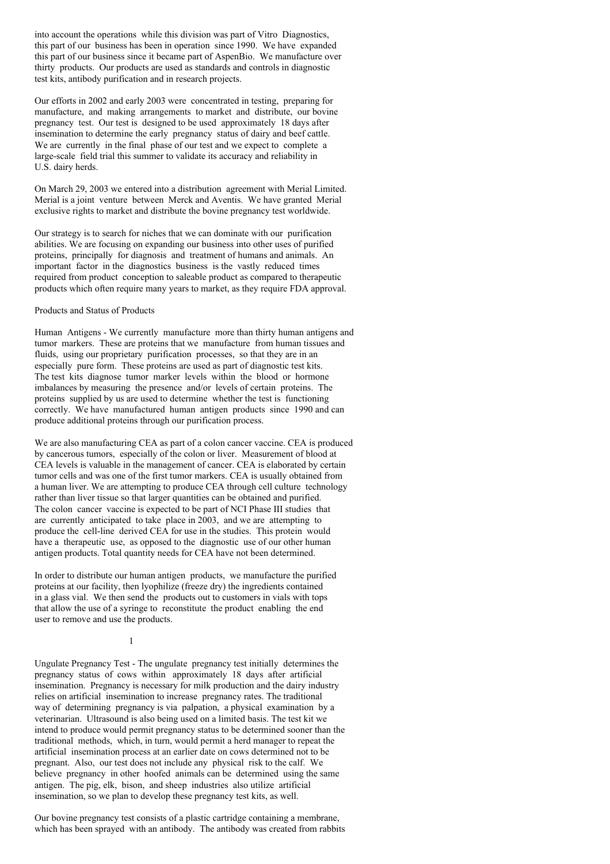into account the operations while this division was part of Vitro Diagnostics, this part of our business has been in operation since 1990. We have expanded this part of our business since it became part of AspenBio. We manufacture over thirty products. Our products are used as standards and controls in diagnostic test kits, antibody purification and in research projects.

Our efforts in 2002 and early 2003 were concentrated in testing, preparing for manufacture, and making arrangements to market and distribute, our bovine pregnancy test. Our test is designed to be used approximately 18 days after insemination to determine the early pregnancy status of dairy and beef cattle. We are currently in the final phase of our test and we expect to complete a large-scale field trial this summer to validate its accuracy and reliability in U.S. dairy herds.

On March 29, 2003 we entered into a distribution agreement with Merial Limited. Merial is a joint venture between Merck and Aventis. We have granted Merial exclusive rights to market and distribute the bovine pregnancy test worldwide.

Our strategy is to search for niches that we can dominate with our purification abilities. We are focusing on expanding our business into other uses of purified proteins, principally for diagnosis and treatment of humans and animals. An important factor in the diagnostics business is the vastly reduced times required from product conception to saleable product as compared to therapeutic products which often require many years to market, as they require FDA approval.

Products and Status of Products

Human Antigens - We currently manufacture more than thirty human antigens and tumor markers. These are proteins that we manufacture from human tissues and fluids, using our proprietary purification processes, so that they are in an especially pure form. These proteins are used as part of diagnostic test kits. The test kits diagnose tumor marker levels within the blood or hormone imbalances by measuring the presence and/or levels of certain proteins. The proteins supplied by us are used to determine whether the test is functioning correctly. We have manufactured human antigen products since 1990 and can produce additional proteins through our purification process.

We are also manufacturing CEA as part of a colon cancer vaccine. CEA is produced by cancerous tumors, especially of the colon or liver. Measurement of blood at CEA levels is valuable in the management of cancer. CEA is elaborated by certain tumor cells and was one of the first tumor markers. CEA is usually obtained from a human liver. We are attempting to produce CEA through cell culture technology rather than liver tissue so that larger quantities can be obtained and purified. The colon cancer vaccine is expected to be part of NCI Phase III studies that are currently anticipated to take place in 2003, and we are attempting to produce the cell-line derived CEA for use in the studies. This protein would have a therapeutic use, as opposed to the diagnostic use of our other human antigen products. Total quantity needs for CEA have not been determined.

In order to distribute our human antigen products, we manufacture the purified proteins at our facility, then lyophilize (freeze dry) the ingredients contained in a glass vial. We then send the products out to customers in vials with tops that allow the use of a syringe to reconstitute the product enabling the end user to remove and use the products.

1

Ungulate Pregnancy Test - The ungulate pregnancy test initially determines the pregnancy status of cows within approximately 18 days after artificial insemination. Pregnancy is necessary for milk production and the dairy industry relies on artificial insemination to increase pregnancy rates. The traditional way of determining pregnancy is via palpation, a physical examination by a veterinarian. Ultrasound is also being used on a limited basis. The test kit we intend to produce would permit pregnancy status to be determined sooner than the traditional methods, which, in turn, would permit a herd manager to repeat the artificial insemination process at an earlier date on cows determined not to be pregnant. Also, our test does not include any physical risk to the calf. We believe pregnancy in other hoofed animals can be determined using the same antigen. The pig, elk, bison, and sheep industries also utilize artificial insemination, so we plan to develop these pregnancy test kits, as well.

Our bovine pregnancy test consists of a plastic cartridge containing a membrane, which has been sprayed with an antibody. The antibody was created from rabbits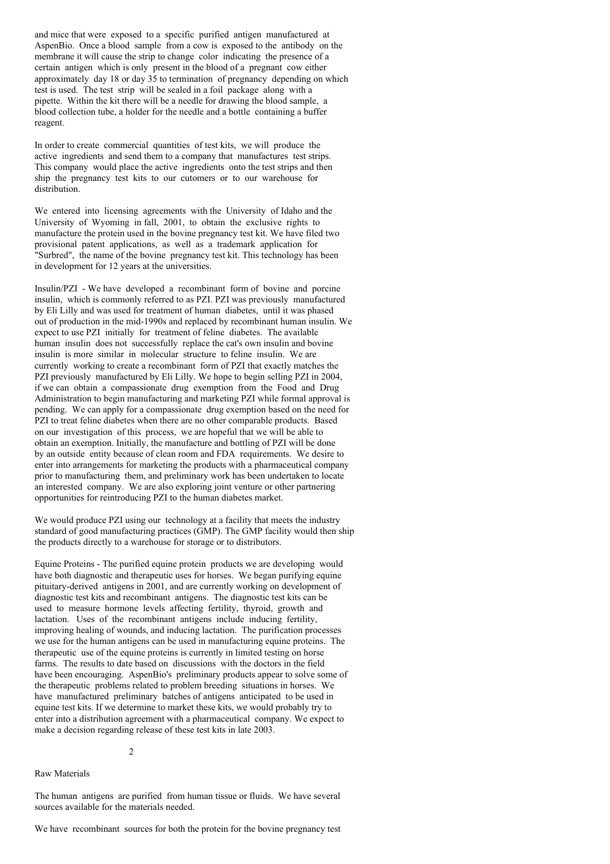and mice that were exposed to a specific purified antigen manufactured at AspenBio. Once a blood sample from a cow is exposed to the antibody on the membrane it will cause the strip to change color indicating the presence of a certain antigen which is only present in the blood of a pregnant cow either approximately day 18 or day 35 to termination of pregnancy depending on which test is used. The test strip will be sealed in a foil package along with a pipette. Within the kit there will be a needle for drawing the blood sample, a blood collection tube, a holder for the needle and a bottle containing a buffer reagent.

In order to create commercial quantities of test kits, we will produce the active ingredients and send them to a company that manufactures test strips. This company would place the active ingredients onto the test strips and then ship the pregnancy test kits to our cutomers or to our warehouse for distribution.

We entered into licensing agreements with the University of Idaho and the University of Wyoming in fall, 2001, to obtain the exclusive rights to manufacture the protein used in the bovine pregnancy test kit. We have filed two provisional patent applications, as well as a trademark application for "Surbred", the name of the bovine pregnancy test kit. This technology has been in development for 12 years at the universities.

Insulin/PZI - We have developed a recombinant form of bovine and porcine insulin, which is commonly referred to as PZI. PZI was previously manufactured by Eli Lilly and was used for treatment of human diabetes, until it was phased out of production in the mid-1990s and replaced by recombinant human insulin. We expect to use PZI initially for treatment of feline diabetes. The available human insulin does not successfully replace the cat's own insulin and bovine insulin is more similar in molecular structure to feline insulin. We are currently working to create a recombinant form of PZI that exactly matches the PZI previously manufactured by Eli Lilly. We hope to begin selling PZI in 2004, if we can obtain a compassionate drug exemption from the Food and Drug Administration to begin manufacturing and marketing PZI while formal approval is pending. We can apply for a compassionate drug exemption based on the need for PZI to treat feline diabetes when there are no other comparable products. Based on our investigation of this process, we are hopeful that we will be able to obtain an exemption. Initially, the manufacture and bottling of PZI will be done by an outside entity because of clean room and FDA requirements. We desire to enter into arrangements for marketing the products with a pharmaceutical company prior to manufacturing them, and preliminary work has been undertaken to locate an interested company. We are also exploring joint venture or other partnering opportunities for reintroducing PZI to the human diabetes market.

We would produce PZI using our technology at a facility that meets the industry standard of good manufacturing practices (GMP). The GMP facility would then ship the products directly to a warehouse for storage or to distributors.

Equine Proteins - The purified equine protein products we are developing would have both diagnostic and therapeutic uses for horses. We began purifying equine pituitary-derived antigens in 2001, and are currently working on development of diagnostic test kits and recombinant antigens. The diagnostic test kits can be used to measure hormone levels affecting fertility, thyroid, growth and lactation. Uses of the recombinant antigens include inducing fertility, improving healing of wounds, and inducing lactation. The purification processes we use for the human antigens can be used in manufacturing equine proteins. The therapeutic use of the equine proteins is currently in limited testing on horse farms. The results to date based on discussions with the doctors in the field have been encouraging. AspenBio's preliminary products appear to solve some of the therapeutic problems related to problem breeding situations in horses. We have manufactured preliminary batches of antigens anticipated to be used in equine test kits. If we determine to market these kits, we would probably try to enter into a distribution agreement with a pharmaceutical company. We expect to make a decision regarding release of these test kits in late 2003.

2

### Raw Materials

The human antigens are purified from human tissue or fluids. We have several sources available for the materials needed.

We have recombinant sources for both the protein for the bovine pregnancy test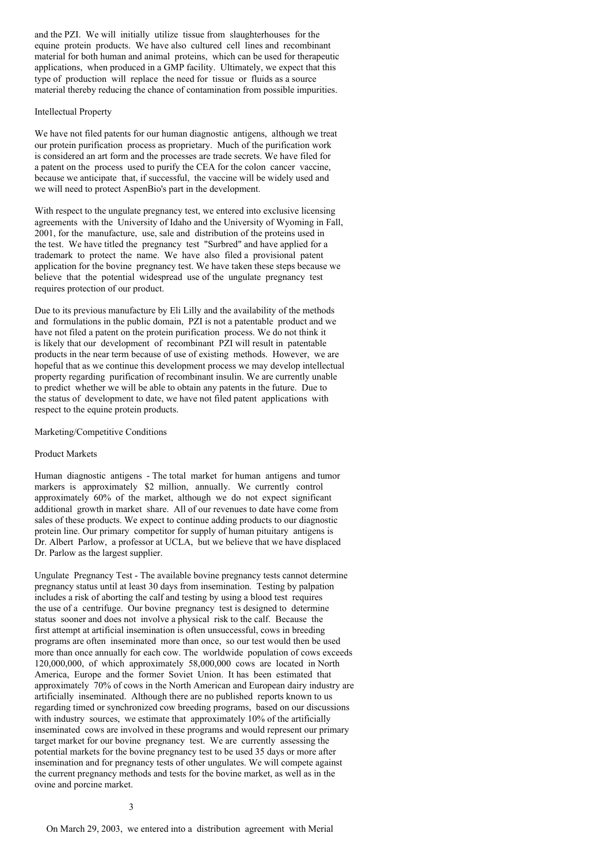and the PZI. We will initially utilize tissue from slaughterhouses for the equine protein products. We have also cultured cell lines and recombinant material for both human and animal proteins, which can be used for therapeutic applications, when produced in a GMP facility. Ultimately, we expect that this type of production will replace the need for tissue or fluids as a source material thereby reducing the chance of contamination from possible impurities.

## Intellectual Property

We have not filed patents for our human diagnostic antigens, although we treat our protein purification process as proprietary. Much of the purification work is considered an art form and the processes are trade secrets. We have filed for a patent on the process used to purify the CEA for the colon cancer vaccine, because we anticipate that, if successful, the vaccine will be widely used and we will need to protect AspenBio's part in the development.

With respect to the ungulate pregnancy test, we entered into exclusive licensing agreements with the University of Idaho and the University of Wyoming in Fall, 2001, for the manufacture, use, sale and distribution of the proteins used in the test. We have titled the pregnancy test "Surbred" and have applied for a trademark to protect the name. We have also filed a provisional patent application for the bovine pregnancy test. We have taken these steps because we believe that the potential widespread use of the ungulate pregnancy test requires protection of our product.

Due to its previous manufacture by Eli Lilly and the availability of the methods and formulations in the public domain, PZI is not a patentable product and we have not filed a patent on the protein purification process. We do not think it is likely that our development of recombinant PZI will result in patentable products in the near term because of use of existing methods. However, we are hopeful that as we continue this development process we may develop intellectual property regarding purification of recombinant insulin. We are currently unable to predict whether we will be able to obtain any patents in the future. Due to the status of development to date, we have not filed patent applications with respect to the equine protein products.

### Marketing/Competitive Conditions

### Product Markets

Human diagnostic antigens - The total market for human antigens and tumor markers is approximately \$2 million, annually. We currently control approximately 60% of the market, although we do not expect significant additional growth in market share. All of our revenues to date have come from sales of these products. We expect to continue adding products to our diagnostic protein line. Our primary competitor for supply of human pituitary antigens is Dr. Albert Parlow, a professor at UCLA, but we believe that we have displaced Dr. Parlow as the largest supplier.

Ungulate Pregnancy Test - The available bovine pregnancy tests cannot determine pregnancy status until at least 30 days from insemination. Testing by palpation includes a risk of aborting the calf and testing by using a blood test requires the use of a centrifuge. Our bovine pregnancy test is designed to determine status sooner and does not involve a physical risk to the calf. Because the first attempt at artificial insemination is often unsuccessful, cows in breeding programs are often inseminated more than once, so our test would then be used more than once annually for each cow. The worldwide population of cows exceeds 120,000,000, of which approximately 58,000,000 cows are located in North America, Europe and the former Soviet Union. It has been estimated that approximately 70% of cows in the North American and European dairy industry are artificially inseminated. Although there are no published reports known to us regarding timed or synchronized cow breeding programs, based on our discussions with industry sources, we estimate that approximately 10% of the artificially inseminated cows are involved in these programs and would represent our primary target market for our bovine pregnancy test. We are currently assessing the potential markets for the bovine pregnancy test to be used 35 days or more after insemination and for pregnancy tests of other ungulates. We will compete against the current pregnancy methods and tests for the bovine market, as well as in the ovine and porcine market.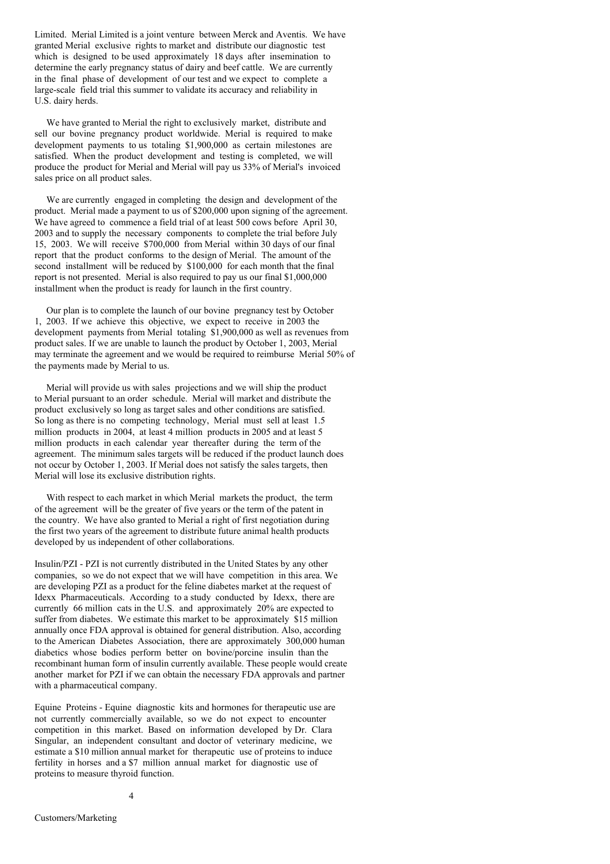Limited. Merial Limited is a joint venture between Merck and Aventis. We have granted Merial exclusive rights to market and distribute our diagnostic test which is designed to be used approximately 18 days after insemination to determine the early pregnancy status of dairy and beef cattle. We are currently in the final phase of development of our test and we expect to complete a large-scale field trial this summer to validate its accuracy and reliability in U.S. dairy herds.

We have granted to Merial the right to exclusively market, distribute and sell our bovine pregnancy product worldwide. Merial is required to make development payments to us totaling \$1,900,000 as certain milestones are satisfied. When the product development and testing is completed, we will produce the product for Merial and Merial will pay us 33% of Merial's invoiced sales price on all product sales.

We are currently engaged in completing the design and development of the product. Merial made a payment to us of \$200,000 upon signing of the agreement. We have agreed to commence a field trial of at least 500 cows before April 30. 2003 and to supply the necessary components to complete the trial before July 15, 2003. We will receive \$700,000 from Merial within 30 days of our final report that the product conforms to the design of Merial. The amount of the second installment will be reduced by \$100,000 for each month that the final report is not presented. Merial is also required to pay us our final \$1,000,000 installment when the product is ready for launch in the first country.

Our plan is to complete the launch of our bovine pregnancy test by October 1, 2003. If we achieve this objective, we expect to receive in 2003 the development payments from Merial totaling \$1,900,000 as well as revenues from product sales. If we are unable to launch the product by October 1, 2003, Merial may terminate the agreement and we would be required to reimburse Merial 50% of the payments made by Merial to us.

Merial will provide us with sales projections and we will ship the product to Merial pursuant to an order schedule. Merial will market and distribute the product exclusively so long as target sales and other conditions are satisfied. So long as there is no competing technology, Merial must sell at least 1.5 million products in 2004, at least 4 million products in 2005 and at least 5 million products in each calendar year thereafter during the term of the agreement. The minimum sales targets will be reduced if the product launch does not occur by October 1, 2003. If Merial does not satisfy the sales targets, then Merial will lose its exclusive distribution rights.

With respect to each market in which Merial markets the product, the term of the agreement will be the greater of five years or the term of the patent in the country. We have also granted to Merial a right of first negotiation during the first two years of the agreement to distribute future animal health products developed by us independent of other collaborations.

Insulin/PZI - PZI is not currently distributed in the United States by any other companies, so we do not expect that we will have competition in this area. We are developing PZI as a product for the feline diabetes market at the request of Idexx Pharmaceuticals. According to a study conducted by Idexx, there are currently 66 million cats in the U.S. and approximately 20% are expected to suffer from diabetes. We estimate this market to be approximately \$15 million annually once FDA approval is obtained for general distribution. Also, according to the American Diabetes Association, there are approximately 300,000 human diabetics whose bodies perform better on bovine/porcine insulin than the recombinant human form of insulin currently available. These people would create another market for PZI if we can obtain the necessary FDA approvals and partner with a pharmaceutical company.

Equine Proteins - Equine diagnostic kits and hormones for therapeutic use are not currently commercially available, so we do not expect to encounter competition in this market. Based on information developed by Dr. Clara Singular, an independent consultant and doctor of veterinary medicine, we estimate a \$10 million annual market for therapeutic use of proteins to induce fertility in horses and a \$7 million annual market for diagnostic use of proteins to measure thyroid function.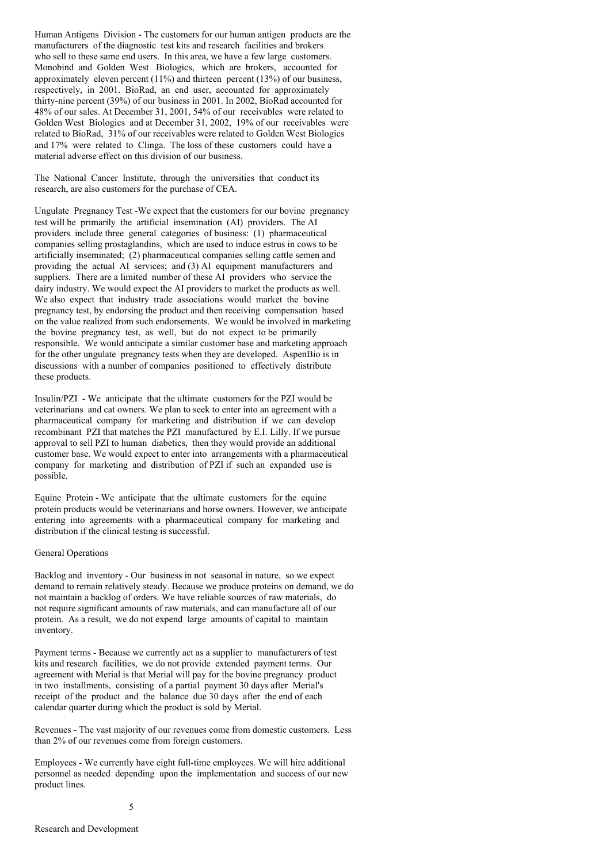Human Antigens Division - The customers for our human antigen products are the manufacturers of the diagnostic test kits and research facilities and brokers who sell to these same end users. In this area, we have a few large customers. Monobind and Golden West Biologics, which are brokers, accounted for approximately eleven percent  $(11\%)$  and thirteen percent  $(13\%)$  of our business, respectively, in 2001. BioRad, an end user, accounted for approximately thirty-nine percent (39%) of our business in 2001. In 2002, BioRad accounted for 48% of our sales. At December 31, 2001, 54% of our receivables were related to Golden West Biologics and at December 31, 2002, 19% of our receivables were related to BioRad, 31% of our receivables were related to Golden West Biologics and 17% were related to Clinga. The loss of these customers could have a material adverse effect on this division of our business.

The National Cancer Institute, through the universities that conduct its research, are also customers for the purchase of CEA.

Ungulate Pregnancy Test -We expect that the customers for our bovine pregnancy test will be primarily the artificial insemination (AI) providers. The AI providers include three general categories of business: (1) pharmaceutical companies selling prostaglandins, which are used to induce estrus in cows to be artificially inseminated; (2) pharmaceutical companies selling cattle semen and providing the actual AI services; and (3) AI equipment manufacturers and suppliers. There are a limited number of these AI providers who service the dairy industry. We would expect the AI providers to market the products as well. We also expect that industry trade associations would market the bovine pregnancy test, by endorsing the product and then receiving compensation based on the value realized from such endorsements. We would be involved in marketing the bovine pregnancy test, as well, but do not expect to be primarily responsible. We would anticipate a similar customer base and marketing approach for the other ungulate pregnancy tests when they are developed. AspenBio is in discussions with a number of companies positioned to effectively distribute these products.

Insulin/PZI - We anticipate that the ultimate customers for the PZI would be veterinarians and cat owners. We plan to seek to enter into an agreement with a pharmaceutical company for marketing and distribution if we can develop recombinant PZI that matches the PZI manufactured by E.I. Lilly. If we pursue approval to sell PZI to human diabetics, then they would provide an additional customer base. We would expect to enter into arrangements with a pharmaceutical company for marketing and distribution of PZI if such an expanded use is possible.

Equine Protein - We anticipate that the ultimate customers for the equine protein products would be veterinarians and horse owners. However, we anticipate entering into agreements with a pharmaceutical company for marketing and distribution if the clinical testing is successful.

## General Operations

Backlog and inventory - Our business in not seasonal in nature, so we expect demand to remain relatively steady. Because we produce proteins on demand, we do not maintain a backlog of orders. We have reliable sources of raw materials, do not require significant amounts of raw materials, and can manufacture all of our protein. As a result, we do not expend large amounts of capital to maintain inventory.

Payment terms - Because we currently act as a supplier to manufacturers of test kits and research facilities, we do not provide extended payment terms. Our agreement with Merial is that Merial will pay for the bovine pregnancy product in two installments, consisting of a partial payment 30 days after Merial's receipt of the product and the balance due 30 days after the end of each calendar quarter during which the product is sold by Merial.

Revenues - The vast majority of our revenues come from domestic customers. Less than 2% of our revenues come from foreign customers.

Employees - We currently have eight full-time employees. We will hire additional personnel as needed depending upon the implementation and success of our new product lines.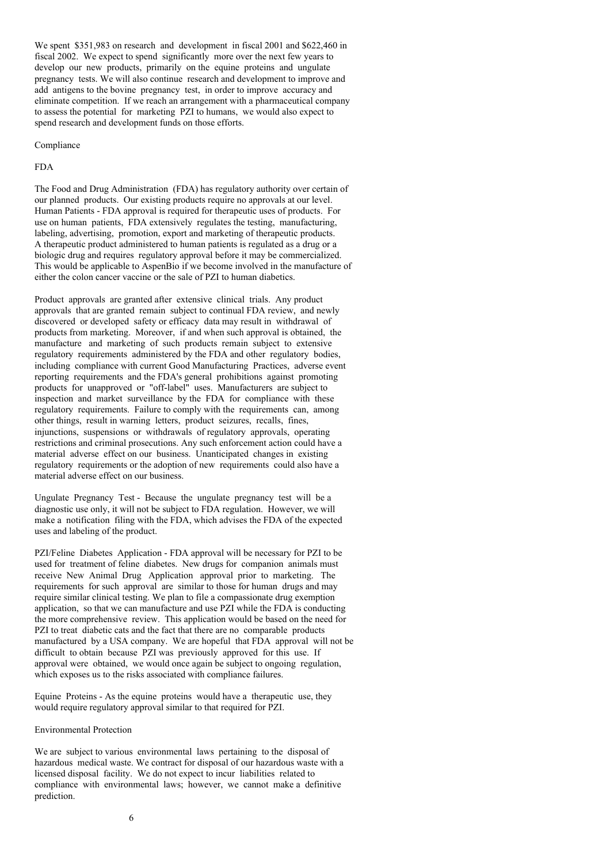We spent \$351,983 on research and development in fiscal 2001 and \$622,460 in fiscal 2002. We expect to spend significantly more over the next few years to develop our new products, primarily on the equine proteins and ungulate pregnancy tests. We will also continue research and development to improve and add antigens to the bovine pregnancy test, in order to improve accuracy and eliminate competition. If we reach an arrangement with a pharmaceutical company to assess the potential for marketing PZI to humans, we would also expect to spend research and development funds on those efforts.

#### Compliance

## FDA

The Food and Drug Administration (FDA) has regulatory authority over certain of our planned products. Our existing products require no approvals at our level. Human Patients - FDA approval is required for therapeutic uses of products. For use on human patients, FDA extensively regulates the testing, manufacturing, labeling, advertising, promotion, export and marketing of therapeutic products. A therapeutic product administered to human patients is regulated as a drug or a biologic drug and requires regulatory approval before it may be commercialized. This would be applicable to AspenBio if we become involved in the manufacture of either the colon cancer vaccine or the sale of PZI to human diabetics.

Product approvals are granted after extensive clinical trials. Any product approvals that are granted remain subject to continual FDA review, and newly discovered or developed safety or efficacy data may result in withdrawal of products from marketing. Moreover, if and when such approval is obtained, the manufacture and marketing of such products remain subject to extensive regulatory requirements administered by the FDA and other regulatory bodies, including compliance with current Good Manufacturing Practices, adverse event reporting requirements and the FDA's general prohibitions against promoting products for unapproved or "off-label" uses. Manufacturers are subject to inspection and market surveillance by the FDA for compliance with these regulatory requirements. Failure to comply with the requirements can, among other things, result in warning letters, product seizures, recalls, fines, injunctions, suspensions or withdrawals of regulatory approvals, operating restrictions and criminal prosecutions. Any such enforcement action could have a material adverse effect on our business. Unanticipated changes in existing regulatory requirements or the adoption of new requirements could also have a material adverse effect on our business.

Ungulate Pregnancy Test - Because the ungulate pregnancy test will be a diagnostic use only, it will not be subject to FDA regulation. However, we will make a notification filing with the FDA, which advises the FDA of the expected uses and labeling of the product.

PZI/Feline Diabetes Application - FDA approval will be necessary for PZI to be used for treatment of feline diabetes. New drugs for companion animals must receive New Animal Drug Application approval prior to marketing. The requirements for such approval are similar to those for human drugs and may require similar clinical testing. We plan to file a compassionate drug exemption application, so that we can manufacture and use PZI while the FDA is conducting the more comprehensive review. This application would be based on the need for PZI to treat diabetic cats and the fact that there are no comparable products manufactured by a USA company. We are hopeful that FDA approval will not be difficult to obtain because PZI was previously approved for this use. If approval were obtained, we would once again be subject to ongoing regulation, which exposes us to the risks associated with compliance failures.

Equine Proteins - As the equine proteins would have a therapeutic use, they would require regulatory approval similar to that required for PZI.

### Environmental Protection

We are subject to various environmental laws pertaining to the disposal of hazardous medical waste. We contract for disposal of our hazardous waste with a licensed disposal facility. We do not expect to incur liabilities related to compliance with environmental laws; however, we cannot make a definitive prediction.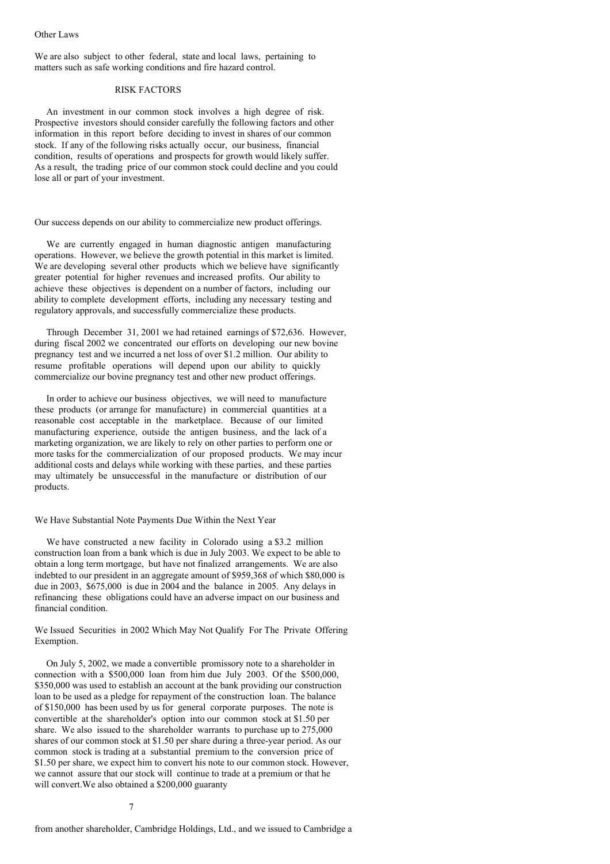We are also subject to other federal, state and local laws, pertaining to matters such as safe working conditions and fire hazard control.

# RISK FACTORS

An investment in our common stock involves a high degree of risk. Prospective investors should consider carefully the following factors and other information in this report before deciding to invest in shares of our common stock. If any of the following risks actually occur, our business, financial condition, results of operations and prospects for growth would likely suffer. As a result, the trading price of our common stock could decline and you could lose all or part of your investment.

Our success depends on our ability to commercialize new product offerings.

We are currently engaged in human diagnostic antigen manufacturing operations. However, we believe the growth potential in this market is limited. We are developing several other products which we believe have significantly greater potential for higher revenues and increased profits. Our ability to achieve these objectives is dependent on a number of factors, including our ability to complete development efforts, including any necessary testing and regulatory approvals, and successfully commercialize these products.

Through December 31, 2001 we had retained earnings of \$72,636. However, during fiscal 2002 we concentrated our efforts on developing our new bovine pregnancy test and we incurred a net loss of over \$1.2 million. Our ability to resume profitable operations will depend upon our ability to quickly commercialize our bovine pregnancy test and other new product offerings.

In order to achieve our business objectives, we will need to manufacture these products (or arrange for manufacture) in commercial quantities at a reasonable cost acceptable in the marketplace. Because of our limited manufacturing experience, outside the antigen business, and the lack of a marketing organization, we are likely to rely on other parties to perform one or more tasks for the commercialization of our proposed products. We may incur additional costs and delays while working with these parties, and these parties may ultimately be unsuccessful in the manufacture or distribution of our products.

### We Have Substantial Note Payments Due Within the Next Year

We have constructed a new facility in Colorado using a \$3.2 million construction loan from a bank which is due in July 2003. We expect to be able to obtain a long term mortgage, but have not finalized arrangements. We are also indebted to our president in an aggregate amount of \$959,368 of which \$80,000 is due in 2003, \$675,000 is due in 2004 and the balance in 2005. Any delays in refinancing these obligations could have an adverse impact on our business and financial condition.

We Issued Securities in 2002 Which May Not Qualify For The Private Offering Exemption.

On July 5, 2002, we made a convertible promissory note to a shareholder in connection with a \$500,000 loan from him due July 2003. Of the \$500,000, \$350,000 was used to establish an account at the bank providing our construction loan to be used as a pledge for repayment of the construction loan. The balance of \$150,000 has been used by us for general corporate purposes. The note is convertible at the shareholder's option into our common stock at \$1.50 per share. We also issued to the shareholder warrants to purchase up to 275,000 shares of our common stock at \$1.50 per share during a three-year period. As our common stock is trading at a substantial premium to the conversion price of \$1.50 per share, we expect him to convert his note to our common stock. However, we cannot assure that our stock will continue to trade at a premium or that he will convert.We also obtained a \$200,000 guaranty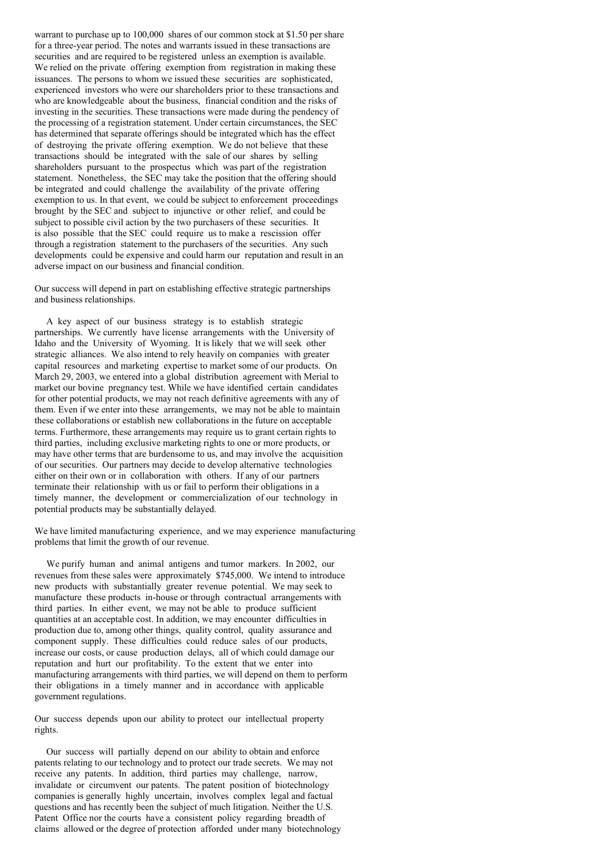warrant to purchase up to 100,000 shares of our common stock at \$1.50 per share for a three-year period. The notes and warrants issued in these transactions are securities and are required to be registered unless an exemption is available. We relied on the private offering exemption from registration in making these issuances. The persons to whom we issued these securities are sophisticated, experienced investors who were our shareholders prior to these transactions and who are knowledgeable about the business, financial condition and the risks of investing in the securities. These transactions were made during the pendency of the processing of a registration statement. Under certain circumstances, the SEC has determined that separate offerings should be integrated which has the effect of destroying the private offering exemption. We do not believe that these transactions should be integrated with the sale of our shares by selling shareholders pursuant to the prospectus which was part of the registration statement. Nonetheless, the SEC may take the position that the offering should be integrated and could challenge the availability of the private offering exemption to us. In that event, we could be subject to enforcement proceedings brought by the SEC and subject to injunctive or other relief, and could be subject to possible civil action by the two purchasers of these securities. It is also possible that the SEC could require us to make a rescission offer through a registration statement to the purchasers of the securities. Any such developments could be expensive and could harm our reputation and result in an adverse impact on our business and financial condition.

Our success will depend in part on establishing effective strategic partnerships and business relationships.

A key aspect of our business strategy is to establish strategic partnerships. We currently have license arrangements with the University of Idaho and the University of Wyoming. It is likely that we will seek other strategic alliances. We also intend to rely heavily on companies with greater capital resources and marketing expertise to market some of our products. On March 29, 2003, we entered into a global distribution agreement with Merial to market our bovine pregnancy test. While we have identified certain candidates for other potential products, we may not reach definitive agreements with any of them. Even if we enter into these arrangements, we may not be able to maintain these collaborations or establish new collaborations in the future on acceptable terms. Furthermore, these arrangements may require us to grant certain rights to third parties, including exclusive marketing rights to one or more products, or may have other terms that are burdensome to us, and may involve the acquisition of our securities. Our partners may decide to develop alternative technologies either on their own or in collaboration with others. If any of our partners terminate their relationship with us or fail to perform their obligations in a timely manner, the development or commercialization of our technology in potential products may be substantially delayed.

We have limited manufacturing experience, and we may experience manufacturing problems that limit the growth of our revenue.

We purify human and animal antigens and tumor markers. In 2002, our revenues from these sales were approximately \$745,000. We intend to introduce new products with substantially greater revenue potential. We may seek to manufacture these products in-house or through contractual arrangements with third parties. In either event, we may not be able to produce sufficient quantities at an acceptable cost. In addition, we may encounter difficulties in production due to, among other things, quality control, quality assurance and component supply. These difficulties could reduce sales of our products, increase our costs, or cause production delays, all of which could damage our reputation and hurt our profitability. To the extent that we enter into manufacturing arrangements with third parties, we will depend on them to perform their obligations in a timely manner and in accordance with applicable government regulations.

Our success depends upon our ability to protect our intellectual property rights.

Our success will partially depend on our ability to obtain and enforce patents relating to our technology and to protect our trade secrets. We may not receive any patents. In addition, third parties may challenge, narrow, invalidate or circumvent our patents. The patent position of biotechnology companies is generally highly uncertain, involves complex legal and factual questions and has recently been the subject of much litigation. Neither the U.S. Patent Office nor the courts have a consistent policy regarding breadth of claims allowed or the degree of protection afforded under many biotechnology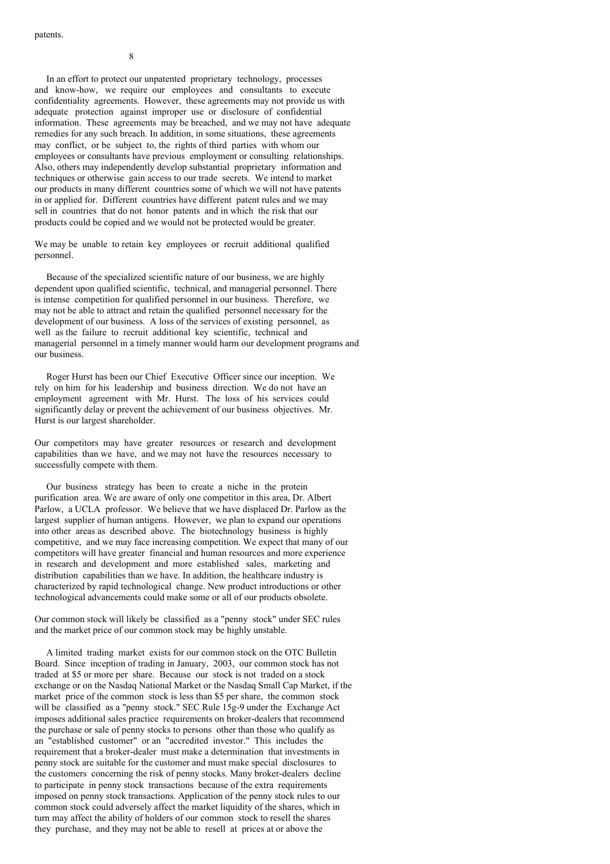In an effort to protect our unpatented proprietary technology, processes and know-how, we require our employees and consultants to execute confidentiality agreements. However, these agreements may not provide us with adequate protection against improper use or disclosure of confidential information. These agreements may be breached, and we may not have adequate remedies for any such breach. In addition, in some situations, these agreements may conflict, or be subject to, the rights of third parties with whom our employees or consultants have previous employment or consulting relationships. Also, others may independently develop substantial proprietary information and techniques or otherwise gain access to our trade secrets. We intend to market our products in many different countries some of which we will not have patents in or applied for. Different countries have different patent rules and we may sell in countries that do not honor patents and in which the risk that our products could be copied and we would not be protected would be greater.

We may be unable to retain key employees or recruit additional qualified personnel.

Because of the specialized scientific nature of our business, we are highly dependent upon qualified scientific, technical, and managerial personnel. There is intense competition for qualified personnel in our business. Therefore, we may not be able to attract and retain the qualified personnel necessary for the development of our business. A loss of the services of existing personnel, as well as the failure to recruit additional key scientific, technical and managerial personnel in a timely manner would harm our development programs and our business.

Roger Hurst has been our Chief Executive Officer since our inception. We rely on him for his leadership and business direction. We do not have an employment agreement with Mr. Hurst. The loss of his services could significantly delay or prevent the achievement of our business objectives. Mr. Hurst is our largest shareholder.

Our competitors may have greater resources or research and development capabilities than we have, and we may not have the resources necessary to successfully compete with them.

Our business strategy has been to create a niche in the protein purification area. We are aware of only one competitor in this area, Dr. Albert Parlow, a UCLA professor. We believe that we have displaced Dr. Parlow as the largest supplier of human antigens. However, we plan to expand our operations into other areas as described above. The biotechnology business is highly competitive, and we may face increasing competition. We expect that many of our competitors will have greater financial and human resources and more experience in research and development and more established sales, marketing and distribution capabilities than we have. In addition, the healthcare industry is characterized by rapid technological change. New product introductions or other technological advancements could make some or all of our products obsolete.

Our common stock will likely be classified as a "penny stock" under SEC rules and the market price of our common stock may be highly unstable.

A limited trading market exists for our common stock on the OTC Bulletin Board. Since inception of trading in January, 2003, our common stock has not traded at \$5 or more per share. Because our stock is not traded on a stock exchange or on the Nasdaq National Market or the Nasdaq Small Cap Market, if the market price of the common stock is less than \$5 per share, the common stock will be classified as a "penny stock." SEC Rule 15g-9 under the Exchange Act imposes additional sales practice requirements on broker-dealers that recommend the purchase or sale of penny stocks to persons other than those who qualify as an "established customer" or an "accredited investor." This includes the requirement that a broker-dealer must make a determination that investments in penny stock are suitable for the customer and must make special disclosures to the customers concerning the risk of penny stocks. Many broker-dealers decline to participate in penny stock transactions because of the extra requirements imposed on penny stock transactions. Application of the penny stock rules to our common stock could adversely affect the market liquidity of the shares, which in turn may affect the ability of holders of our common stock to resell the shares they purchase, and they may not be able to resell at prices at or above the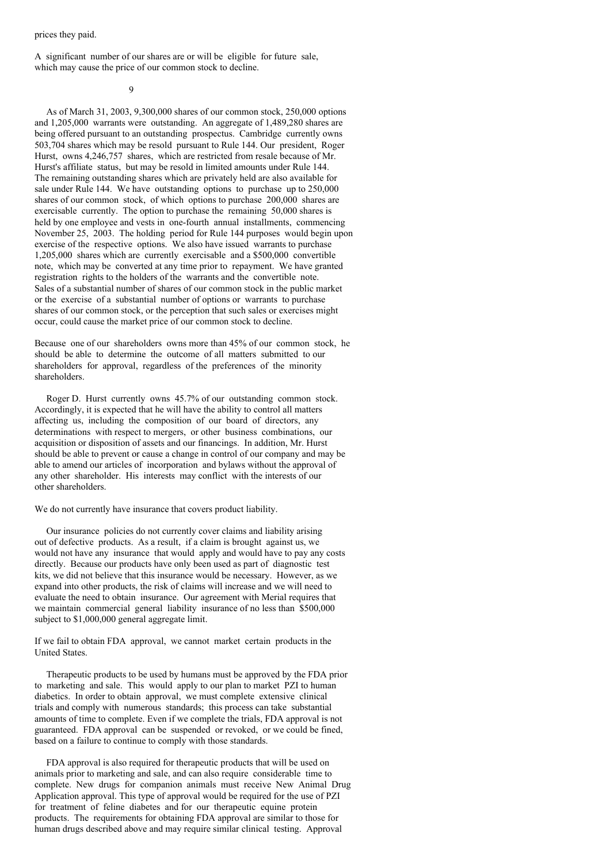prices they paid.

A significant number of our shares are or will be eligible for future sale, which may cause the price of our common stock to decline.

 $\Omega$ 

As of March 31, 2003, 9,300,000 shares of our common stock, 250,000 options and 1,205,000 warrants were outstanding. An aggregate of 1,489,280 shares are being offered pursuant to an outstanding prospectus. Cambridge currently owns 503,704 shares which may be resold pursuant to Rule 144. Our president, Roger Hurst, owns 4,246,757 shares, which are restricted from resale because of Mr. Hurst's affiliate status, but may be resold in limited amounts under Rule 144. The remaining outstanding shares which are privately held are also available for sale under Rule 144. We have outstanding options to purchase up to 250,000 shares of our common stock, of which options to purchase 200,000 shares are exercisable currently. The option to purchase the remaining 50,000 shares is held by one employee and vests in one-fourth annual installments, commencing November 25, 2003. The holding period for Rule 144 purposes would begin upon exercise of the respective options. We also have issued warrants to purchase 1,205,000 shares which are currently exercisable and a \$500,000 convertible note, which may be converted at any time prior to repayment. We have granted registration rights to the holders of the warrants and the convertible note. Sales of a substantial number of shares of our common stock in the public market or the exercise of a substantial number of options or warrants to purchase shares of our common stock, or the perception that such sales or exercises might occur, could cause the market price of our common stock to decline.

Because one of our shareholders owns more than 45% of our common stock, he should be able to determine the outcome of all matters submitted to our shareholders for approval, regardless of the preferences of the minority shareholders.

Roger D. Hurst currently owns 45.7% of our outstanding common stock. Accordingly, it is expected that he will have the ability to control all matters affecting us, including the composition of our board of directors, any determinations with respect to mergers, or other business combinations, our acquisition or disposition of assets and our financings. In addition, Mr. Hurst should be able to prevent or cause a change in control of our company and may be able to amend our articles of incorporation and bylaws without the approval of any other shareholder. His interests may conflict with the interests of our other shareholders.

We do not currently have insurance that covers product liability.

Our insurance policies do not currently cover claims and liability arising out of defective products. As a result, if a claim is brought against us, we would not have any insurance that would apply and would have to pay any costs directly. Because our products have only been used as part of diagnostic test kits, we did not believe that this insurance would be necessary. However, as we expand into other products, the risk of claims will increase and we will need to evaluate the need to obtain insurance. Our agreement with Merial requires that we maintain commercial general liability insurance of no less than \$500,000 subject to \$1,000,000 general aggregate limit.

If we fail to obtain FDA approval, we cannot market certain products in the United States.

Therapeutic products to be used by humans must be approved by the FDA prior to marketing and sale. This would apply to our plan to market PZI to human diabetics. In order to obtain approval, we must complete extensive clinical trials and comply with numerous standards; this process can take substantial amounts of time to complete. Even if we complete the trials, FDA approval is not guaranteed. FDA approval can be suspended or revoked, or we could be fined, based on a failure to continue to comply with those standards.

FDA approval is also required for therapeutic products that will be used on animals prior to marketing and sale, and can also require considerable time to complete. New drugs for companion animals must receive New Animal Drug Application approval. This type of approval would be required for the use of PZI for treatment of feline diabetes and for our therapeutic equine protein products. The requirements for obtaining FDA approval are similar to those for human drugs described above and may require similar clinical testing. Approval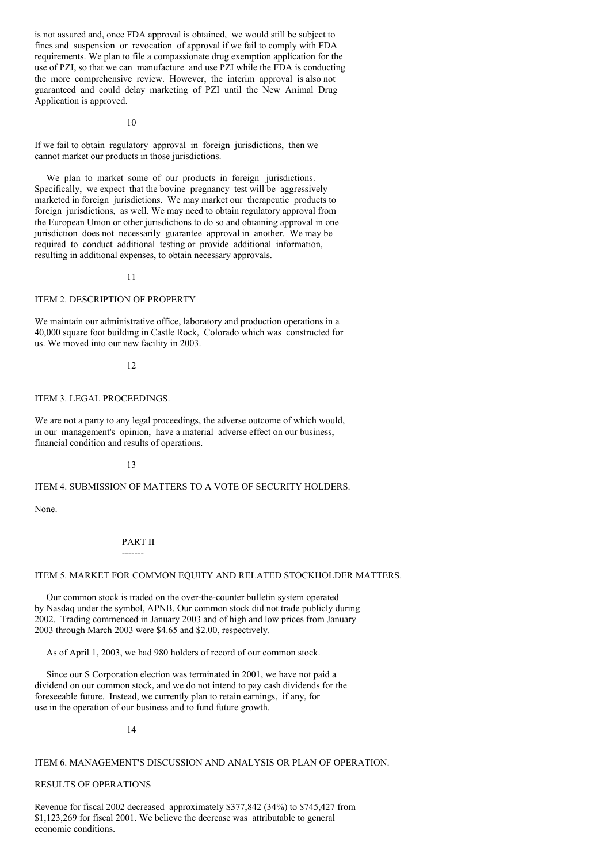is not assured and, once FDA approval is obtained, we would still be subject to fines and suspension or revocation of approval if we fail to comply with FDA requirements. We plan to file a compassionate drug exemption application for the use of PZI, so that we can manufacture and use PZI while the FDA is conducting the more comprehensive review. However, the interim approval is also not guaranteed and could delay marketing of PZI until the New Animal Drug Application is approved.

 $1<sub>0</sub>$ 

If we fail to obtain regulatory approval in foreign jurisdictions, then we cannot market our products in those jurisdictions.

We plan to market some of our products in foreign jurisdictions. Specifically, we expect that the bovine pregnancy test will be aggressively marketed in foreign jurisdictions. We may market our therapeutic products to foreign jurisdictions, as well. We may need to obtain regulatory approval from the European Union or other jurisdictions to do so and obtaining approval in one jurisdiction does not necessarily guarantee approval in another. We may be required to conduct additional testing or provide additional information, resulting in additional expenses, to obtain necessary approvals.

11

### ITEM 2. DESCRIPTION OF PROPERTY

We maintain our administrative office, laboratory and production operations in a 40,000 square foot building in Castle Rock, Colorado which was constructed for us. We moved into our new facility in 2003.

### 12

# ITEM 3. LEGAL PROCEEDINGS.

We are not a party to any legal proceedings, the adverse outcome of which would, in our management's opinion, have a material adverse effect on our business, financial condition and results of operations.

## 13

## ITEM 4. SUBMISSION OF MATTERS TO A VOTE OF SECURITY HOLDERS.

None.

## PART II -------

## ITEM 5. MARKET FOR COMMON EQUITY AND RELATED STOCKHOLDER MATTERS.

Our common stock is traded on the over-the-counter bulletin system operated by Nasdaq under the symbol, APNB. Our common stock did not trade publicly during 2002. Trading commenced in January 2003 and of high and low prices from January 2003 through March 2003 were \$4.65 and \$2.00, respectively.

As of April 1, 2003, we had 980 holders of record of our common stock.

Since our S Corporation election was terminated in 2001, we have not paid a dividend on our common stock, and we do not intend to pay cash dividends for the foreseeable future. Instead, we currently plan to retain earnings, if any, for use in the operation of our business and to fund future growth.

14

## ITEM 6. MANAGEMENT'S DISCUSSION AND ANALYSIS OR PLAN OF OPERATION.

## RESULTS OF OPERATIONS

Revenue for fiscal 2002 decreased approximately \$377,842 (34%) to \$745,427 from \$1,123,269 for fiscal 2001. We believe the decrease was attributable to general economic conditions.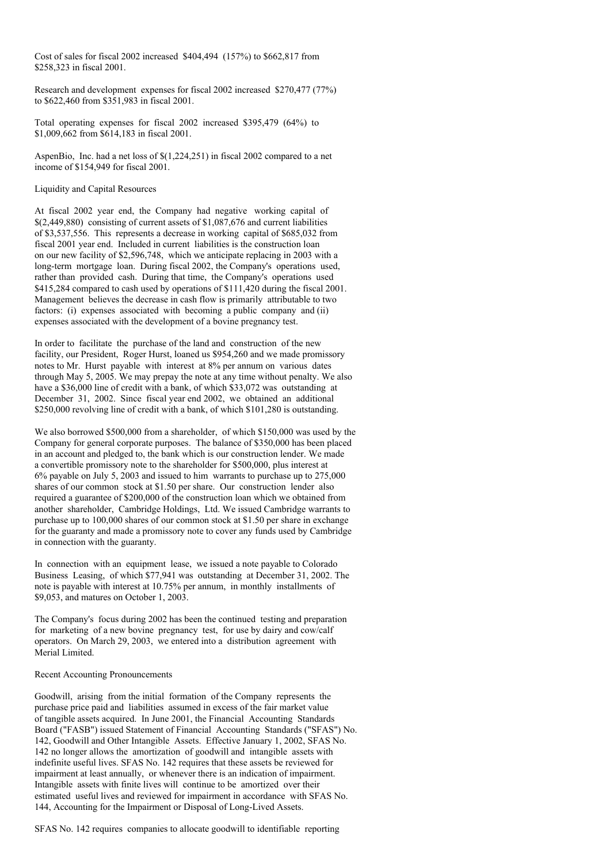Cost of sales for fiscal 2002 increased \$404,494 (157%) to \$662,817 from \$258,323 in fiscal 2001.

Research and development expenses for fiscal 2002 increased \$270,477 (77%) to \$622,460 from \$351,983 in fiscal 2001.

Total operating expenses for fiscal 2002 increased \$395,479 (64%) to \$1,009,662 from \$614,183 in fiscal 2001.

AspenBio, Inc. had a net loss of \$(1,224,251) in fiscal 2002 compared to a net income of \$154,949 for fiscal 2001.

#### Liquidity and Capital Resources

At fiscal 2002 year end, the Company had negative working capital of \$(2,449,880) consisting of current assets of \$1,087,676 and current liabilities of \$3,537,556. This represents a decrease in working capital of \$685,032 from fiscal 2001 year end. Included in current liabilities is the construction loan on our new facility of \$2,596,748, which we anticipate replacing in 2003 with a long-term mortgage loan. During fiscal 2002, the Company's operations used, rather than provided cash. During that time, the Company's operations used \$415,284 compared to cash used by operations of \$111,420 during the fiscal 2001. Management believes the decrease in cash flow is primarily attributable to two factors: (i) expenses associated with becoming a public company and (ii) expenses associated with the development of a bovine pregnancy test.

In order to facilitate the purchase of the land and construction of the new facility, our President, Roger Hurst, loaned us \$954,260 and we made promissory notes to Mr. Hurst payable with interest at 8% per annum on various dates through May 5, 2005. We may prepay the note at any time without penalty. We also have a \$36,000 line of credit with a bank, of which \$33,072 was outstanding at December 31, 2002. Since fiscal year end 2002, we obtained an additional \$250,000 revolving line of credit with a bank, of which \$101,280 is outstanding.

We also borrowed \$500,000 from a shareholder, of which \$150,000 was used by the Company for general corporate purposes. The balance of \$350,000 has been placed in an account and pledged to, the bank which is our construction lender. We made a convertible promissory note to the shareholder for \$500,000, plus interest at 6% payable on July 5, 2003 and issued to him warrants to purchase up to 275,000 shares of our common stock at \$1.50 per share. Our construction lender also required a guarantee of \$200,000 of the construction loan which we obtained from another shareholder, Cambridge Holdings, Ltd. We issued Cambridge warrants to purchase up to 100,000 shares of our common stock at \$1.50 per share in exchange for the guaranty and made a promissory note to cover any funds used by Cambridge in connection with the guaranty.

In connection with an equipment lease, we issued a note payable to Colorado Business Leasing, of which \$77,941 was outstanding at December 31, 2002. The note is payable with interest at 10.75% per annum, in monthly installments of \$9,053, and matures on October 1, 2003.

The Company's focus during 2002 has been the continued testing and preparation for marketing of a new bovine pregnancy test, for use by dairy and cow/calf operators. On March 29, 2003, we entered into a distribution agreement with Merial Limited.

### Recent Accounting Pronouncements

Goodwill, arising from the initial formation of the Company represents the purchase price paid and liabilities assumed in excess of the fair market value of tangible assets acquired. In June 2001, the Financial Accounting Standards Board ("FASB") issued Statement of Financial Accounting Standards ("SFAS") No. 142, Goodwill and Other Intangible Assets. Effective January 1, 2002, SFAS No. 142 no longer allows the amortization of goodwill and intangible assets with indefinite useful lives. SFAS No. 142 requires that these assets be reviewed for impairment at least annually, or whenever there is an indication of impairment. Intangible assets with finite lives will continue to be amortized over their estimated useful lives and reviewed for impairment in accordance with SFAS No. 144, Accounting for the Impairment or Disposal of Long-Lived Assets.

SFAS No. 142 requires companies to allocate goodwill to identifiable reporting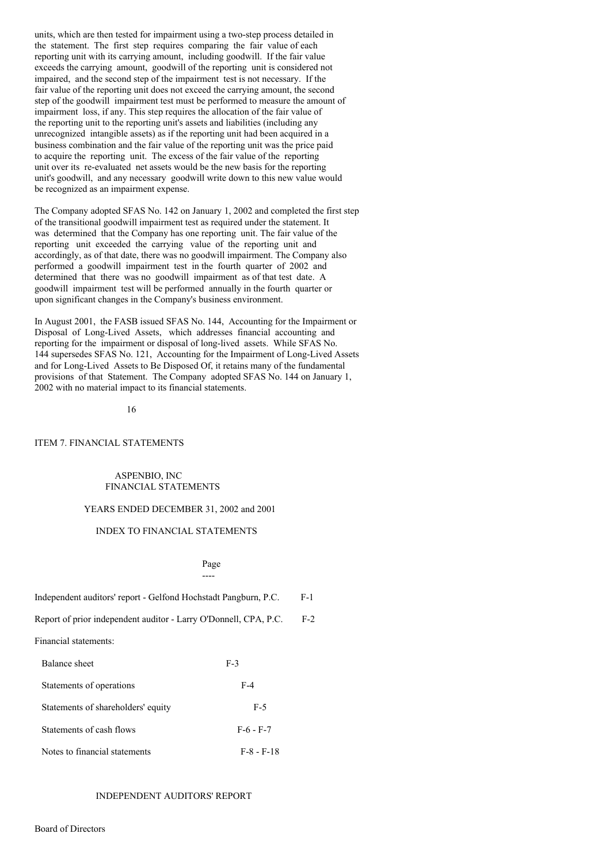units, which are then tested for impairment using a two-step process detailed in the statement. The first step requires comparing the fair value of each reporting unit with its carrying amount, including goodwill. If the fair value exceeds the carrying amount, goodwill of the reporting unit is considered not impaired, and the second step of the impairment test is not necessary. If the fair value of the reporting unit does not exceed the carrying amount, the second step of the goodwill impairment test must be performed to measure the amount of impairment loss, if any. This step requires the allocation of the fair value of the reporting unit to the reporting unit's assets and liabilities (including any unrecognized intangible assets) as if the reporting unit had been acquired in a business combination and the fair value of the reporting unit was the price paid to acquire the reporting unit. The excess of the fair value of the reporting unit over its re-evaluated net assets would be the new basis for the reporting unit's goodwill, and any necessary goodwill write down to this new value would be recognized as an impairment expense.

The Company adopted SFAS No. 142 on January 1, 2002 and completed the first step of the transitional goodwill impairment test as required under the statement. It was determined that the Company has one reporting unit. The fair value of the reporting unit exceeded the carrying value of the reporting unit and accordingly, as of that date, there was no goodwill impairment. The Company also performed a goodwill impairment test in the fourth quarter of 2002 and determined that there was no goodwill impairment as of that test date. A goodwill impairment test will be performed annually in the fourth quarter or upon significant changes in the Company's business environment.

In August 2001, the FASB issued SFAS No. 144, Accounting for the Impairment or Disposal of Long-Lived Assets, which addresses financial accounting and reporting for the impairment or disposal of long-lived assets. While SFAS No. 144 supersedes SFAS No. 121, Accounting for the Impairment of Long-Lived Assets and for Long-Lived Assets to Be Disposed Of, it retains many of the fundamental provisions of that Statement. The Company adopted SFAS No. 144 on January 1, 2002 with no material impact to its financial statements.

16

### ITEM 7. FINANCIAL STATEMENTS

## ASPENBIO, INC FINANCIAL STATEMENTS

### YEARS ENDED DECEMBER 31, 2002 and 2001

## INDEX TO FINANCIAL STATEMENTS

Page ----

| Independent auditors' report - Gelfond Hochstadt Pangburn, P.C.  |       | $F-1$ |
|------------------------------------------------------------------|-------|-------|
| Report of prior independent auditor - Larry O'Donnell, CPA, P.C. |       | $F-2$ |
| Financial statements:                                            |       |       |
| Balance sheet                                                    | $F-3$ |       |
| Statements of operations                                         | $F-4$ |       |
| Statements of shareholders' equity                               | F-5   |       |

- Statements of cash flows F-6 F-7
- Notes to financial statements F-8 F-18

## INDEPENDENT AUDITORS' REPORT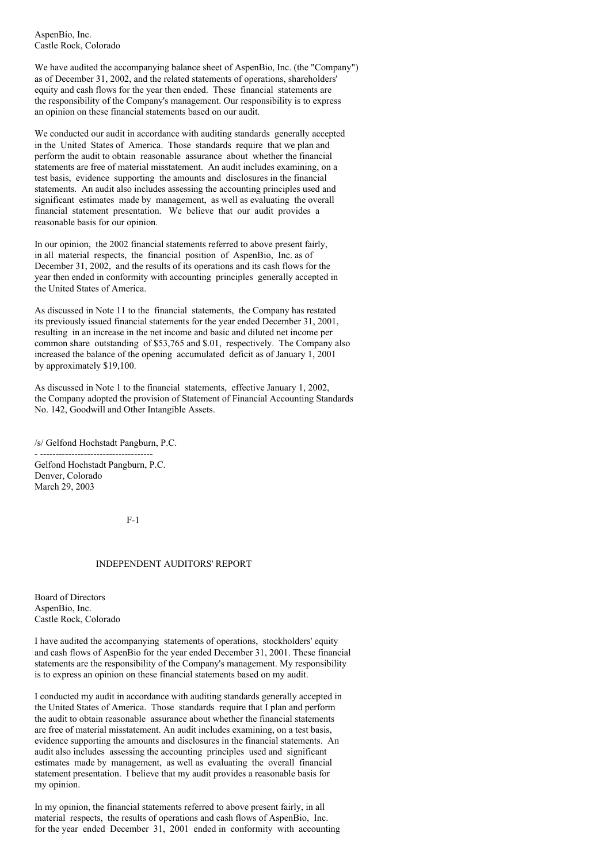AspenBio, Inc. Castle Rock, Colorado

We have audited the accompanying balance sheet of AspenBio, Inc. (the "Company") as of December 31, 2002, and the related statements of operations, shareholders' equity and cash flows for the year then ended. These financial statements are the responsibility of the Company's management. Our responsibility is to express an opinion on these financial statements based on our audit.

We conducted our audit in accordance with auditing standards generally accepted in the United States of America. Those standards require that we plan and perform the audit to obtain reasonable assurance about whether the financial statements are free of material misstatement. An audit includes examining, on a test basis, evidence supporting the amounts and disclosures in the financial statements. An audit also includes assessing the accounting principles used and significant estimates made by management, as well as evaluating the overall financial statement presentation. We believe that our audit provides a reasonable basis for our opinion.

In our opinion, the 2002 financial statements referred to above present fairly, in all material respects, the financial position of AspenBio, Inc. as of December 31, 2002, and the results of its operations and its cash flows for the year then ended in conformity with accounting principles generally accepted in the United States of America.

As discussed in Note 11 to the financial statements, the Company has restated its previously issued financial statements for the year ended December 31, 2001, resulting in an increase in the net income and basic and diluted net income per common share outstanding of \$53,765 and \$.01, respectively. The Company also increased the balance of the opening accumulated deficit as of January 1, 2001 by approximately \$19,100.

As discussed in Note 1 to the financial statements, effective January 1, 2002, the Company adopted the provision of Statement of Financial Accounting Standards No. 142, Goodwill and Other Intangible Assets.

/s/ Gelfond Hochstadt Pangburn, P.C.

- ------------------------------------ Gelfond Hochstadt Pangburn, P.C. Denver, Colorado March 29, 2003

 $F-1$ 

### INDEPENDENT AUDITORS' REPORT

Board of Directors AspenBio, Inc. Castle Rock, Colorado

I have audited the accompanying statements of operations, stockholders' equity and cash flows of AspenBio for the year ended December 31, 2001. These financial statements are the responsibility of the Company's management. My responsibility is to express an opinion on these financial statements based on my audit.

I conducted my audit in accordance with auditing standards generally accepted in the United States of America. Those standards require that I plan and perform the audit to obtain reasonable assurance about whether the financial statements are free of material misstatement. An audit includes examining, on a test basis, evidence supporting the amounts and disclosures in the financial statements. An audit also includes assessing the accounting principles used and significant estimates made by management, as well as evaluating the overall financial statement presentation. I believe that my audit provides a reasonable basis for my opinion.

In my opinion, the financial statements referred to above present fairly, in all material respects, the results of operations and cash flows of AspenBio, Inc. for the year ended December 31, 2001 ended in conformity with accounting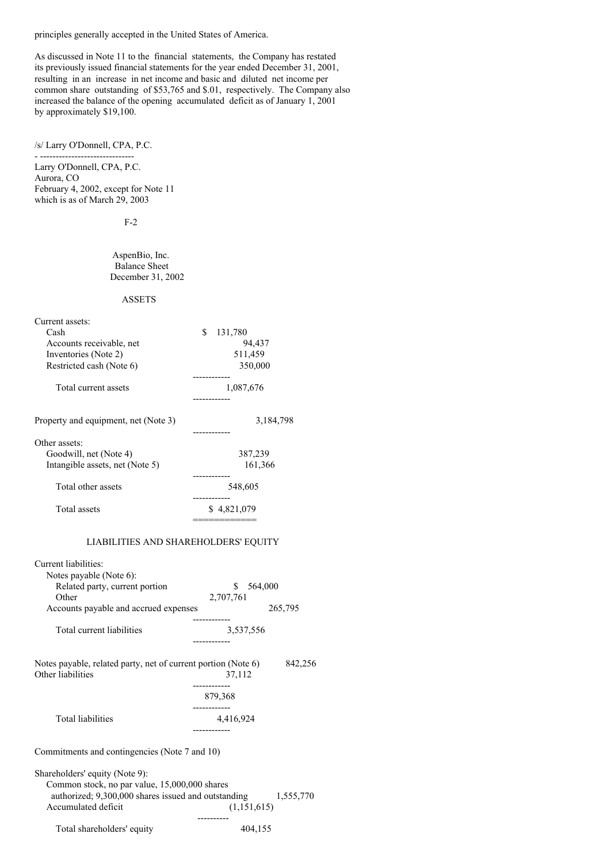principles generally accepted in the United States of America.

As discussed in Note 11 to the financial statements, the Company has restated its previously issued financial statements for the year ended December 31, 2001, resulting in an increase in net income and basic and diluted net income per common share outstanding of \$53,765 and \$.01, respectively. The Company also increased the balance of the opening accumulated deficit as of January 1, 2001 by approximately \$19,100.

## /s/ Larry O'Donnell, CPA, P.C.

- ------------------------------ Larry O'Donnell, CPA, P.C. Aurora, CO February 4, 2002, except for Note 11 which is as of March 29, 2003

F-2

AspenBio, Inc. Balance Sheet December 31, 2002

## ASSETS

| Current assets:                      |               |
|--------------------------------------|---------------|
| Cash                                 | \$<br>131,780 |
| Accounts receivable, net             | 94,437        |
| Inventories (Note 2)                 | 511,459       |
| Restricted cash (Note 6)             | 350,000       |
|                                      |               |
| Total current assets                 | 1,087,676     |
|                                      |               |
| Property and equipment, net (Note 3) | 3,184,798     |
|                                      |               |
| Other assets:                        |               |
| Goodwill, net (Note 4)               | 387,239       |
| Intangible assets, net (Note 5)      | 161,366       |
|                                      |               |
| Total other assets                   | 548,605       |
|                                      |               |
| Total assets                         | \$4,821,079   |
|                                      |               |

# LIABILITIES AND SHAREHOLDERS' EQUITY

| Current liabilities:                                                                                                                                          |                          |           |
|---------------------------------------------------------------------------------------------------------------------------------------------------------------|--------------------------|-----------|
| Notes payable (Note 6):                                                                                                                                       |                          |           |
| Related party, current portion                                                                                                                                | \$564,000                |           |
| Other                                                                                                                                                         | 2,707,761                |           |
| Accounts payable and accrued expenses                                                                                                                         |                          | 265,795   |
| Total current liabilities                                                                                                                                     | 3,537,556<br>----------- |           |
| Notes payable, related party, net of current portion (Note 6)<br>Other liabilities                                                                            | 37,112<br>-----------    | 842,256   |
|                                                                                                                                                               | 879,368                  |           |
| Total liabilities                                                                                                                                             | 4,416,924                |           |
| Commitments and contingencies (Note 7 and 10)                                                                                                                 |                          |           |
| Shareholders' equity (Note 9):<br>Common stock, no par value, 15,000,000 shares<br>authorized; 9,300,000 shares issued and outstanding<br>Accumulated deficit | (1,151,615)              | 1,555,770 |
|                                                                                                                                                               | ----------               |           |

Total shareholders' equity  $404,155$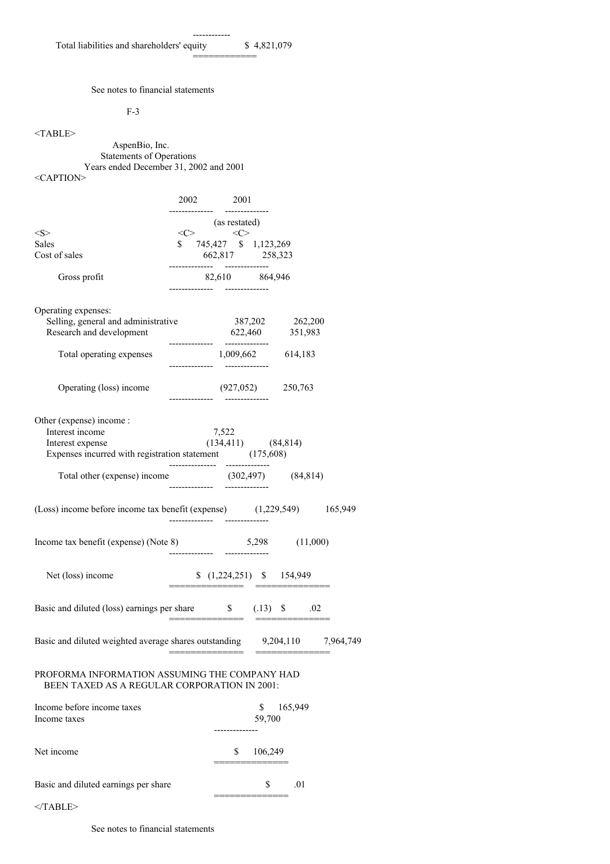------------

============

See notes to financial statements

F-3

<TABLE>

AspenBio, Inc. Statements of Operations Years ended December 31, 2002 and 2001

<CAPTION>

|                                                                                                                           |                | 2002 2001                                                |              |                |  |
|---------------------------------------------------------------------------------------------------------------------------|----------------|----------------------------------------------------------|--------------|----------------|--|
|                                                                                                                           |                |                                                          |              |                |  |
| $<\!\!S\!\!>$                                                                                                             |                | (as restated)<br>$\langle C \rangle$                     |              |                |  |
| <b>Sales</b>                                                                                                              |                | \$ 745,427 \$ 1,123,269                                  |              |                |  |
| Cost of sales                                                                                                             |                | 662,817 258,323<br>--------------         -------------- |              |                |  |
| Gross profit                                                                                                              |                | 82,610 864,946                                           |              |                |  |
| Operating expenses:<br>Selling, general and administrative 387,202 262,200<br>Research and development 622,460 351,983    |                |                                                          |              |                |  |
| Total operating expenses                                                                                                  | -------------- | 1,009,662 614,183                                        |              |                |  |
| Operating (loss) income                                                                                                   |                | $(927,052)$ 250,763                                      |              |                |  |
| Other (expense) income:<br>Interest income<br>Interest expense<br>Expenses incurred with registration statement (175,608) |                | 7,522<br>$(134,411)$ $(84,814)$                          |              |                |  |
| Total other (expense) income (302,497) (84,814)                                                                           | -------------- |                                                          |              |                |  |
| (Loss) income before income tax benefit (expense) (1,229,549) 165,949                                                     |                | -----------        ----------                            |              |                |  |
| Income tax benefit (expense) (Note 8)                                                                                     | ------------   |                                                          |              | 5,298 (11,000) |  |
| Net (loss) income                                                                                                         |                | $(1,224,251)$ \$ 154,949                                 |              |                |  |
| Basic and diluted (loss) earnings per share \$ (.13) \$ .02                                                               |                |                                                          |              |                |  |
| Basic and diluted weighted average shares outstanding 9,204,110 7,964,749                                                 |                |                                                          |              |                |  |
| PROFORMA INFORMATION ASSUMING THE COMPANY HAD<br><b>BEEN TAXED AS A REGULAR CORPORATION IN 2001:</b>                      |                |                                                          |              |                |  |
| Income before income taxes<br>Income taxes                                                                                |                | ------------                                             | \$<br>59,700 | 165,949        |  |
| Net income                                                                                                                |                | \$                                                       | 106,249      |                |  |

| Basic and diluted earnings per share |  |
|--------------------------------------|--|

==============

 $<$ /TABLE>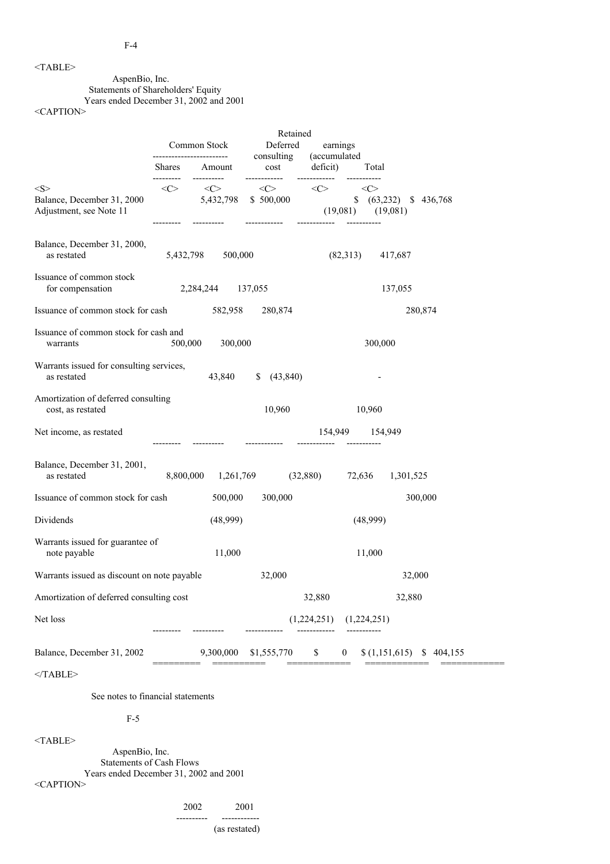# <TABLE>

# AspenBio, Inc.

Statements of Shareholders' Equity

Years ended December 31, 2002 and 2001

<CAPTION>

|                                                                        | Common Stock               | Retained<br>Deferred |                                                                                 |                                     | earnings                                                  |                          |
|------------------------------------------------------------------------|----------------------------|----------------------|---------------------------------------------------------------------------------|-------------------------------------|-----------------------------------------------------------|--------------------------|
|                                                                        | Shares Amount              |                      | consulting<br>cost                                                              | (accumulated<br>deficit)            | Total                                                     |                          |
| $<\!\!S\!\!>$<br>Balance, December 31, 2000<br>Adjustment, see Note 11 | ---------<br>$<\!\!C\!\!>$ | ----------           | ------------<br>$\langle C \rangle$ $\langle C \rangle$<br>5,432,798 \$ 500,000 | ------------<br><<><br>------------ | < <c><br/><math>(19,081)</math> <math>(19,081)</math></c> | \$ (63,232) \$ 436,768   |
| Balance, December 31, 2000,<br>as restated                             |                            | 5,432,798 500,000    |                                                                                 |                                     | $(82,313)$ 417,687                                        |                          |
| Issuance of common stock<br>for compensation                           |                            | 2,284,244 137,055    |                                                                                 |                                     |                                                           | 137,055                  |
| Issuance of common stock for cash 582,958                              |                            |                      | 280,874                                                                         |                                     |                                                           | 280,874                  |
| Issuance of common stock for cash and<br>warrants                      | 500,000                    | 300,000              |                                                                                 |                                     | 300,000                                                   |                          |
| Warrants issued for consulting services,<br>as restated                |                            | 43,840               | $\frac{1}{2}$ (43,840)                                                          |                                     |                                                           |                          |
| Amortization of deferred consulting<br>cost, as restated               |                            |                      | 10,960                                                                          |                                     | 10,960                                                    |                          |
| Net income, as restated                                                |                            |                      |                                                                                 |                                     | 154,949 154,949                                           |                          |
| Balance, December 31, 2001,<br>as restated                             |                            |                      | 8,800,000 1,261,769 (32,880)                                                    |                                     |                                                           | 72,636 1,301,525         |
| Issuance of common stock for cash                                      |                            | 500,000              | 300,000                                                                         |                                     |                                                           | 300,000                  |
| Dividends                                                              |                            | (48,999)             |                                                                                 |                                     | (48,999)                                                  |                          |
| Warrants issued for guarantee of<br>note payable                       |                            | 11,000               |                                                                                 |                                     | 11,000                                                    |                          |
| Warrants issued as discount on note payable                            |                            |                      | 32,000                                                                          |                                     |                                                           | 32,000                   |
| Amortization of deferred consulting cost                               |                            |                      |                                                                                 | 32,880                              |                                                           | 32,880                   |
| Net loss                                                               |                            |                      |                                                                                 |                                     | $(1,224,251)$ $(1,224,251)$                               |                          |
| Balance, December 31, 2002                                             |                            | 9,300,000            | \$1,555,770                                                                     | \$                                  | $\overline{0}$                                            | $(1,151,615)$ \$ 404,155 |
| $<$ /TABLE>                                                            |                            |                      |                                                                                 |                                     |                                                           |                          |
| See notes to financial statements                                      |                            |                      |                                                                                 |                                     |                                                           |                          |

# F-5

<TABLE>

AspenBio, Inc. Statements of Cash Flows Years ended December 31, 2002 and 2001

<CAPTION>

2002 2001

---------- ------------

(as restated)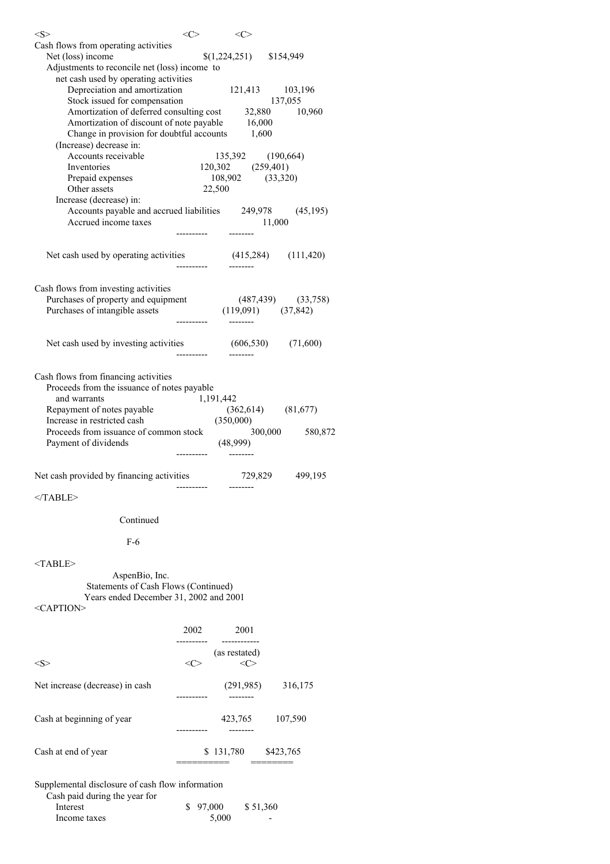| $<\leq>$                                                                                                    | <c></c>     | $<\!\!C\!\!>$             |                 |
|-------------------------------------------------------------------------------------------------------------|-------------|---------------------------|-----------------|
| Cash flows from operating activities                                                                        |             |                           |                 |
| Net (loss) income                                                                                           |             | $$(1,224,251)$ \\$154,949 |                 |
| Adjustments to reconcile net (loss) income to                                                               |             |                           |                 |
| net cash used by operating activities<br>Depreciation and amortization                                      |             | 121,413 103,196           |                 |
|                                                                                                             |             |                           |                 |
| Stock issued for compensation<br>Amortization of deferred consulting cost 32,880 10,960                     |             |                           |                 |
| Amortization of discount of note payable 16,000                                                             |             |                           |                 |
| Change in provision for doubtful accounts                                                                   |             | 1,600                     |                 |
| (Increase) decrease in:                                                                                     |             |                           |                 |
| Accounts receivable                                                                                         |             | 135,392 (190,664)         |                 |
| Inventories                                                                                                 |             | $120,302$ $(259,401)$     |                 |
| Prepaid expenses                                                                                            |             | 108,902 (33,320)          |                 |
| Other assets<br>Increase (decrease) in:                                                                     | 22,500      |                           |                 |
| Accounts payable and accrued liabilities 249,978 (45,195)                                                   |             |                           |                 |
| Accrued income taxes                                                                                        |             |                           | 11,000          |
|                                                                                                             |             |                           |                 |
|                                                                                                             |             |                           |                 |
| Net cash used by operating activities (415,284) (111,420)                                                   |             |                           |                 |
|                                                                                                             |             |                           |                 |
|                                                                                                             |             |                           |                 |
| Cash flows from investing activities                                                                        |             |                           |                 |
| Purchases of property and equipment (487,439) (33,758)<br>Purchases of intangible assets (119,091) (37,842) |             |                           |                 |
|                                                                                                             | ----------- |                           |                 |
|                                                                                                             |             |                           |                 |
| Net cash used by investing activities (606,530) (71,600)                                                    |             |                           |                 |
|                                                                                                             | ----------  |                           |                 |
|                                                                                                             |             |                           |                 |
| Cash flows from financing activities                                                                        |             |                           |                 |
| Proceeds from the issuance of notes payable                                                                 |             |                           |                 |
| and warrants                                                                                                | 1,191,442   |                           |                 |
| Repayment of notes payable $(362,614)$ $(81,677)$<br>Increase in restricted cash $(350,000)$                |             |                           |                 |
| Proceeds from issuance of common stock                                                                      |             |                           | 300,000 580,872 |
| Payment of dividends                                                                                        |             | (48,999)                  |                 |
|                                                                                                             |             |                           |                 |
|                                                                                                             |             |                           |                 |
| Net cash provided by financing activities                                                                   |             |                           | 729,829 499,195 |
|                                                                                                             |             |                           |                 |
|                                                                                                             |             |                           |                 |

  |  |  || Continued |  |  |  |
|  |  |  |  |
| $F-6$ |  |  |  |
|  |  |  |  |
| $<$ TABLE> |  |  |  |
| AspenBio, Inc. |  |  |  |
| Statements of Cash Flows (Continued) |  |  |  |
| Years ended December 31, 2002 and 2001 |  |  |  |
|  |  |  |  |
|  | 2002 | 2001 |  |
|  |  |  |  |
|  |  | (as restated) |  |
| $<\!\!S\!\!>$ | <<> | <<> |  |
|  |  |  |  |
| Net increase (decrease) in cash |  |  | $(291,985)$   $316,175$ |
|  |  |  |  |
|  |  |  |  |
| Cash at beginning of year |  | 423,765 107,590 |  |
|  | . | --------- |  |
| Cash at end of year |  | \$131,780 | \$423,765 |
|  | ======== |  | ======= |
|  |  |  |  |
| Supplemental disclosure of cash flow information |  |  |  |
| Cash paid during the year for |  |  |  |

| Cash paid during the year for |          |          |  |
|-------------------------------|----------|----------|--|
| Interest                      | \$97,000 | \$51,360 |  |
| Income taxes                  | 5.000    | -        |  |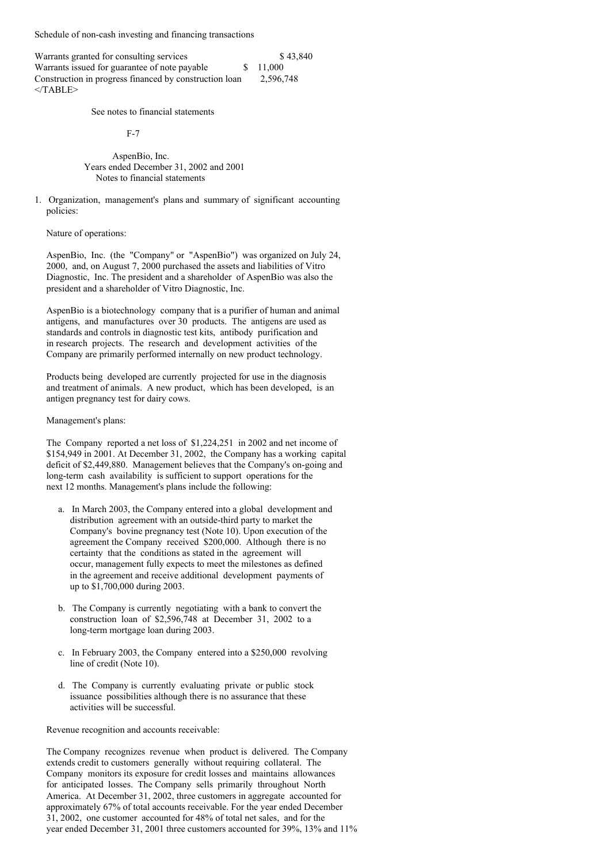Schedule of non-cash investing and financing transactions

| Warrants granted for consulting services               | \$43,840  |
|--------------------------------------------------------|-----------|
| Warrants issued for guarantee of note payable          | \$ 11,000 |
| Construction in progress financed by construction loan | 2.596.748 |
| $<$ TABLE>                                             |           |

See notes to financial statements

F-7

AspenBio, Inc. Years ended December 31, 2002 and 2001 Notes to financial statements

1. Organization, management's plans and summary of significant accounting policies:

Nature of operations:

AspenBio, Inc. (the "Company" or "AspenBio") was organized on July 24, 2000, and, on August 7, 2000 purchased the assets and liabilities of Vitro Diagnostic, Inc. The president and a shareholder of AspenBio was also the president and a shareholder of Vitro Diagnostic, Inc.

AspenBio is a biotechnology company that is a purifier of human and animal antigens, and manufactures over 30 products. The antigens are used as standards and controls in diagnostic test kits, antibody purification and in research projects. The research and development activities of the Company are primarily performed internally on new product technology.

Products being developed are currently projected for use in the diagnosis and treatment of animals. A new product, which has been developed, is an antigen pregnancy test for dairy cows.

## Management's plans:

The Company reported a net loss of \$1,224,251 in 2002 and net income of \$154,949 in 2001. At December 31, 2002, the Company has a working capital deficit of \$2,449,880. Management believes that the Company's on-going and long-term cash availability is sufficient to support operations for the next 12 months. Management's plans include the following:

- a. In March 2003, the Company entered into a global development and distribution agreement with an outside-third party to market the Company's bovine pregnancy test (Note 10). Upon execution of the agreement the Company received \$200,000. Although there is no certainty that the conditions as stated in the agreement will occur, management fully expects to meet the milestones as defined in the agreement and receive additional development payments of up to \$1,700,000 during 2003.
- b. The Company is currently negotiating with a bank to convert the construction loan of \$2,596,748 at December 31, 2002 to a long-term mortgage loan during 2003.
- c. In February 2003, the Company entered into a \$250,000 revolving line of credit (Note 10).
- d. The Company is currently evaluating private or public stock issuance possibilities although there is no assurance that these activities will be successful.

Revenue recognition and accounts receivable:

The Company recognizes revenue when product is delivered. The Company extends credit to customers generally without requiring collateral. The Company monitors its exposure for credit losses and maintains allowances for anticipated losses. The Company sells primarily throughout North America. At December 31, 2002, three customers in aggregate accounted for approximately 67% of total accounts receivable. For the year ended December 31, 2002, one customer accounted for 48% of total net sales, and for the year ended December 31, 2001 three customers accounted for 39%, 13% and 11%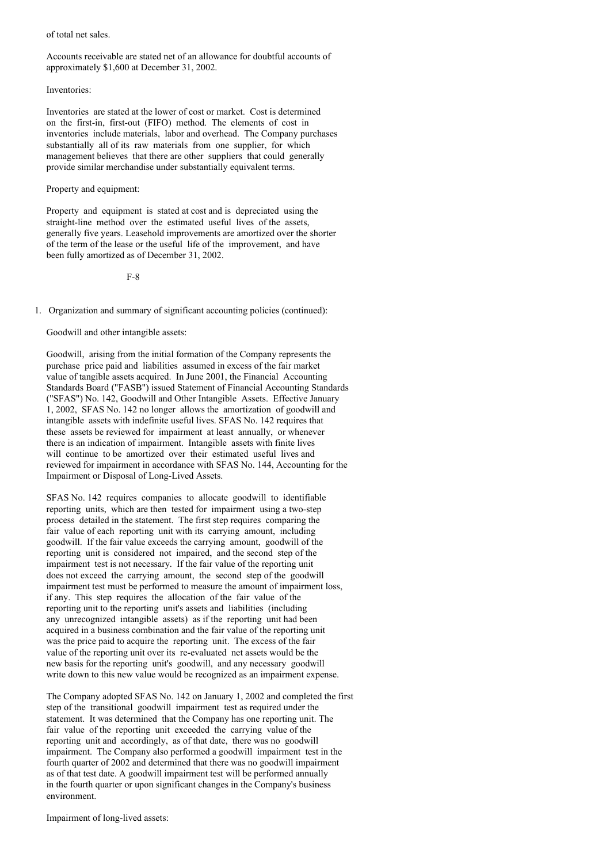### of total net sales.

Accounts receivable are stated net of an allowance for doubtful accounts of approximately \$1,600 at December 31, 2002.

### Inventories:

Inventories are stated at the lower of cost or market. Cost is determined on the first-in, first-out (FIFO) method. The elements of cost in inventories include materials, labor and overhead. The Company purchases substantially all of its raw materials from one supplier, for which management believes that there are other suppliers that could generally provide similar merchandise under substantially equivalent terms.

### Property and equipment:

Property and equipment is stated at cost and is depreciated using the straight-line method over the estimated useful lives of the assets, generally five years. Leasehold improvements are amortized over the shorter of the term of the lease or the useful life of the improvement, and have been fully amortized as of December 31, 2002.

F-8

1. Organization and summary of significant accounting policies (continued):

## Goodwill and other intangible assets:

Goodwill, arising from the initial formation of the Company represents the purchase price paid and liabilities assumed in excess of the fair market value of tangible assets acquired. In June 2001, the Financial Accounting Standards Board ("FASB") issued Statement of Financial Accounting Standards ("SFAS") No. 142, Goodwill and Other Intangible Assets. Effective January 1, 2002, SFAS No. 142 no longer allows the amortization of goodwill and intangible assets with indefinite useful lives. SFAS No. 142 requires that these assets be reviewed for impairment at least annually, or whenever there is an indication of impairment. Intangible assets with finite lives will continue to be amortized over their estimated useful lives and reviewed for impairment in accordance with SFAS No. 144, Accounting for the Impairment or Disposal of Long-Lived Assets.

SFAS No. 142 requires companies to allocate goodwill to identifiable reporting units, which are then tested for impairment using a two-step process detailed in the statement. The first step requires comparing the fair value of each reporting unit with its carrying amount, including goodwill. If the fair value exceeds the carrying amount, goodwill of the reporting unit is considered not impaired, and the second step of the impairment test is not necessary. If the fair value of the reporting unit does not exceed the carrying amount, the second step of the goodwill impairment test must be performed to measure the amount of impairment loss, if any. This step requires the allocation of the fair value of the reporting unit to the reporting unit's assets and liabilities (including any unrecognized intangible assets) as if the reporting unit had been acquired in a business combination and the fair value of the reporting unit was the price paid to acquire the reporting unit. The excess of the fair value of the reporting unit over its re-evaluated net assets would be the new basis for the reporting unit's goodwill, and any necessary goodwill write down to this new value would be recognized as an impairment expense.

The Company adopted SFAS No. 142 on January 1, 2002 and completed the first step of the transitional goodwill impairment test as required under the statement. It was determined that the Company has one reporting unit. The fair value of the reporting unit exceeded the carrying value of the reporting unit and accordingly, as of that date, there was no goodwill impairment. The Company also performed a goodwill impairment test in the fourth quarter of 2002 and determined that there was no goodwill impairment as of that test date. A goodwill impairment test will be performed annually in the fourth quarter or upon significant changes in the Company's business environment.

Impairment of long-lived assets: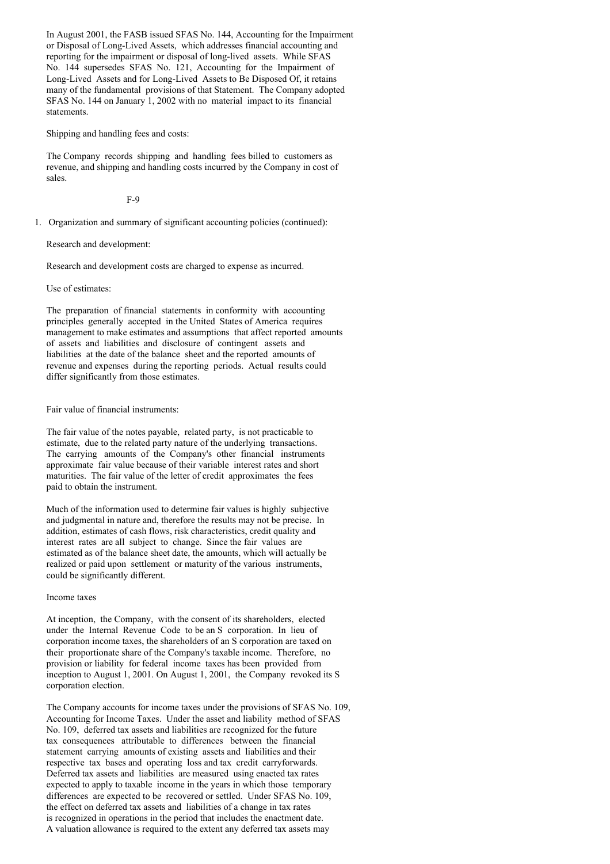In August 2001, the FASB issued SFAS No. 144, Accounting for the Impairment or Disposal of Long-Lived Assets, which addresses financial accounting and reporting for the impairment or disposal of long-lived assets. While SFAS No. 144 supersedes SFAS No. 121, Accounting for the Impairment of Long-Lived Assets and for Long-Lived Assets to Be Disposed Of, it retains many of the fundamental provisions of that Statement. The Company adopted SFAS No. 144 on January 1, 2002 with no material impact to its financial statements.

Shipping and handling fees and costs:

The Company records shipping and handling fees billed to customers as revenue, and shipping and handling costs incurred by the Company in cost of sales.

F-9

1. Organization and summary of significant accounting policies (continued):

Research and development:

Research and development costs are charged to expense as incurred.

Use of estimates:

The preparation of financial statements in conformity with accounting principles generally accepted in the United States of America requires management to make estimates and assumptions that affect reported amounts of assets and liabilities and disclosure of contingent assets and liabilities at the date of the balance sheet and the reported amounts of revenue and expenses during the reporting periods. Actual results could differ significantly from those estimates.

Fair value of financial instruments:

The fair value of the notes payable, related party, is not practicable to estimate, due to the related party nature of the underlying transactions. The carrying amounts of the Company's other financial instruments approximate fair value because of their variable interest rates and short maturities. The fair value of the letter of credit approximates the fees paid to obtain the instrument.

Much of the information used to determine fair values is highly subjective and judgmental in nature and, therefore the results may not be precise. In addition, estimates of cash flows, risk characteristics, credit quality and interest rates are all subject to change. Since the fair values are estimated as of the balance sheet date, the amounts, which will actually be realized or paid upon settlement or maturity of the various instruments, could be significantly different.

Income taxes

At inception, the Company, with the consent of its shareholders, elected under the Internal Revenue Code to be an S corporation. In lieu of corporation income taxes, the shareholders of an S corporation are taxed on their proportionate share of the Company's taxable income. Therefore, no provision or liability for federal income taxes has been provided from inception to August 1, 2001. On August 1, 2001, the Company revoked its S corporation election.

The Company accounts for income taxes under the provisions of SFAS No. 109, Accounting for Income Taxes. Under the asset and liability method of SFAS No. 109, deferred tax assets and liabilities are recognized for the future tax consequences attributable to differences between the financial statement carrying amounts of existing assets and liabilities and their respective tax bases and operating loss and tax credit carryforwards. Deferred tax assets and liabilities are measured using enacted tax rates expected to apply to taxable income in the years in which those temporary differences are expected to be recovered or settled. Under SFAS No. 109, the effect on deferred tax assets and liabilities of a change in tax rates is recognized in operations in the period that includes the enactment date. A valuation allowance is required to the extent any deferred tax assets may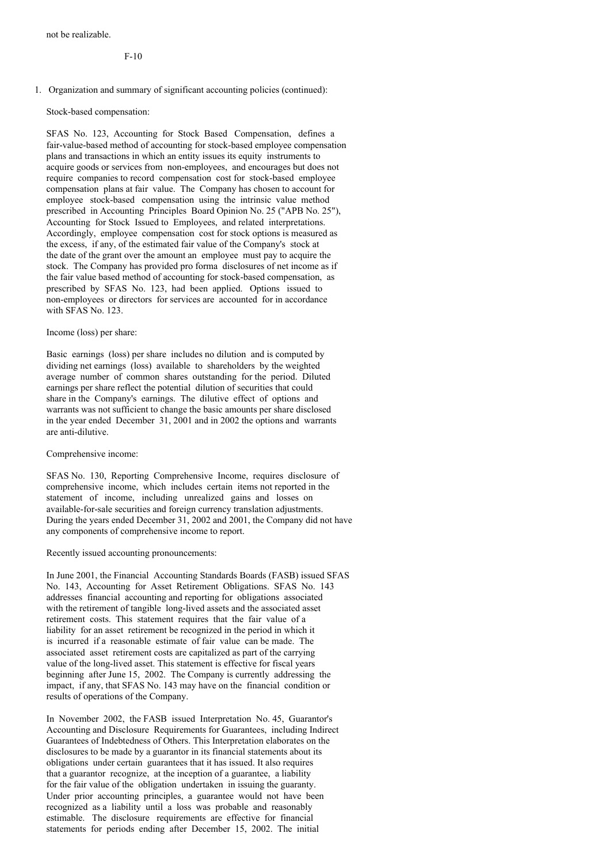F-10

### 1. Organization and summary of significant accounting policies (continued):

Stock-based compensation:

SFAS No. 123, Accounting for Stock Based Compensation, defines a fair-value-based method of accounting for stock-based employee compensation plans and transactions in which an entity issues its equity instruments to acquire goods or services from non-employees, and encourages but does not require companies to record compensation cost for stock-based employee compensation plans at fair value. The Company has chosen to account for employee stock-based compensation using the intrinsic value method prescribed in Accounting Principles Board Opinion No. 25 ("APB No. 25"), Accounting for Stock Issued to Employees, and related interpretations. Accordingly, employee compensation cost for stock options is measured as the excess, if any, of the estimated fair value of the Company's stock at the date of the grant over the amount an employee must pay to acquire the stock. The Company has provided pro forma disclosures of net income as if the fair value based method of accounting for stock-based compensation, as prescribed by SFAS No. 123, had been applied. Options issued to non-employees or directors for services are accounted for in accordance with SFAS No. 123.

### Income (loss) per share:

Basic earnings (loss) per share includes no dilution and is computed by dividing net earnings (loss) available to shareholders by the weighted average number of common shares outstanding for the period. Diluted earnings per share reflect the potential dilution of securities that could share in the Company's earnings. The dilutive effect of options and warrants was not sufficient to change the basic amounts per share disclosed in the year ended December 31, 2001 and in 2002 the options and warrants are anti-dilutive.

Comprehensive income:

SFAS No. 130, Reporting Comprehensive Income, requires disclosure of comprehensive income, which includes certain items not reported in the statement of income, including unrealized gains and losses on available-for-sale securities and foreign currency translation adjustments. During the years ended December 31, 2002 and 2001, the Company did not have any components of comprehensive income to report.

Recently issued accounting pronouncements:

In June 2001, the Financial Accounting Standards Boards (FASB) issued SFAS No. 143, Accounting for Asset Retirement Obligations. SFAS No. 143 addresses financial accounting and reporting for obligations associated with the retirement of tangible long-lived assets and the associated asset retirement costs. This statement requires that the fair value of a liability for an asset retirement be recognized in the period in which it is incurred if a reasonable estimate of fair value can be made. The associated asset retirement costs are capitalized as part of the carrying value of the long-lived asset. This statement is effective for fiscal years beginning after June 15, 2002. The Company is currently addressing the impact, if any, that SFAS No. 143 may have on the financial condition or results of operations of the Company.

In November 2002, the FASB issued Interpretation No. 45, Guarantor's Accounting and Disclosure Requirements for Guarantees, including Indirect Guarantees of Indebtedness of Others. This Interpretation elaborates on the disclosures to be made by a guarantor in its financial statements about its obligations under certain guarantees that it has issued. It also requires that a guarantor recognize, at the inception of a guarantee, a liability for the fair value of the obligation undertaken in issuing the guaranty. Under prior accounting principles, a guarantee would not have been recognized as a liability until a loss was probable and reasonably estimable. The disclosure requirements are effective for financial statements for periods ending after December 15, 2002. The initial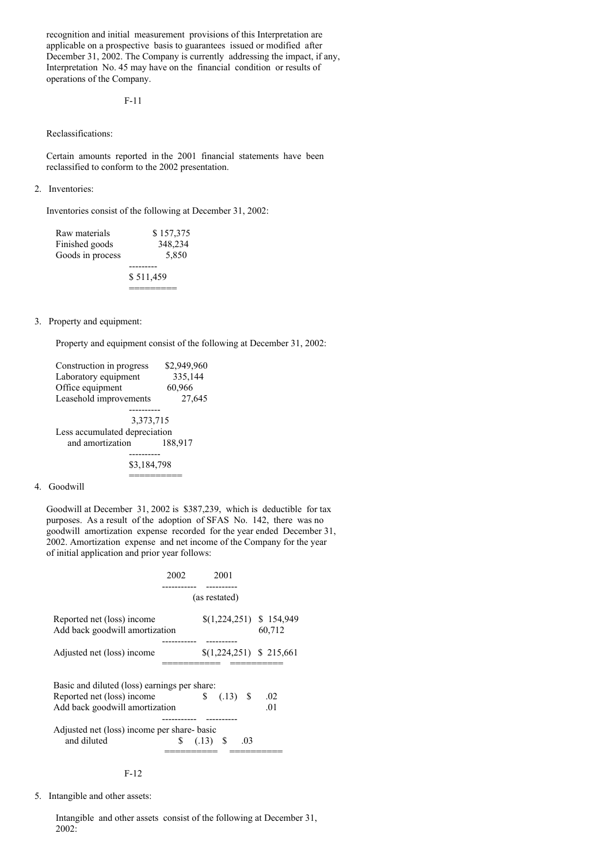recognition and initial measurement provisions of this Interpretation are applicable on a prospective basis to guarantees issued or modified after December 31, 2002. The Company is currently addressing the impact, if any, Interpretation No. 45 may have on the financial condition or results of operations of the Company.

F-11

# Reclassifications:

Certain amounts reported in the 2001 financial statements have been reclassified to conform to the 2002 presentation.

## 2. Inventories:

Inventories consist of the following at December 31, 2002:

| Raw materials    | \$157,375 |
|------------------|-----------|
| Finished goods   | 348,234   |
| Goods in process | 5.850     |
|                  |           |
|                  | \$511,459 |
|                  |           |

## 3. Property and equipment:

Property and equipment consist of the following at December 31, 2002:

| Construction in progress      | \$2,949,960 |  |  |  |
|-------------------------------|-------------|--|--|--|
| Laboratory equipment          | 335,144     |  |  |  |
| Office equipment              | 60,966      |  |  |  |
| Leasehold improvements        | 27,645      |  |  |  |
|                               |             |  |  |  |
| 3,373,715                     |             |  |  |  |
| Less accumulated depreciation |             |  |  |  |
| and amortization              | 188,917     |  |  |  |
|                               |             |  |  |  |
| \$3,184,798                   |             |  |  |  |
|                               |             |  |  |  |

#### 4. Goodwill

Goodwill at December 31, 2002 is \$387,239, which is deductible for tax purposes. As a result of the adoption of SFAS No. 142, there was no goodwill amortization expense recorded for the year ended December 31, 2002. Amortization expense and net income of the Company for the year of initial application and prior year follows:

|                                                              | 2002       |    | 2001          |     |                                    |
|--------------------------------------------------------------|------------|----|---------------|-----|------------------------------------|
|                                                              | --------   |    |               |     |                                    |
|                                                              |            |    | (as restated) |     |                                    |
| Reported net (loss) income<br>Add back goodwill amortization |            |    |               |     | $(1,224,251)$ \$ 154,949<br>60,712 |
| Adjusted net (loss) income                                   |            |    |               |     | $(1,224,251)$ \$ 215,661           |
| Basic and diluted (loss) earnings per share:                 |            |    |               |     |                                    |
| Reported net (loss) income                                   |            | S. | $(.13)$ \$    |     | .02                                |
| Add back goodwill amortization                               |            |    |               |     | .01                                |
| Adjusted net (loss) income per share-basic                   |            |    |               |     |                                    |
| and diluted                                                  | \$(.13) \$ |    |               | .03 |                                    |
|                                                              |            |    |               |     |                                    |



5. Intangible and other assets:

Intangible and other assets consist of the following at December 31, 2002: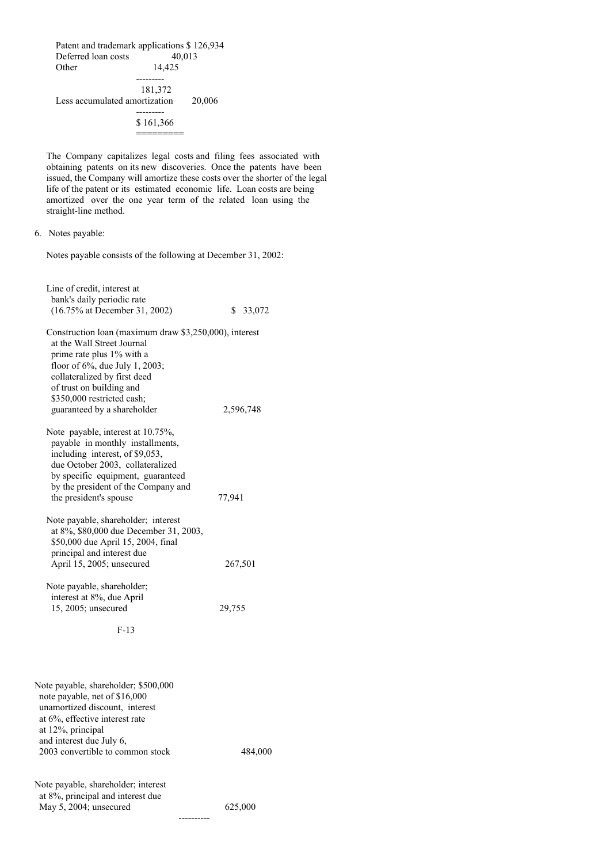Patent and trademark applications \$ 126,934 Deferred loan costs 40,013 Other 14,425  $- - -$ 181,372 Less accumulated amortization 20,006 --------- \$ 161,366 =========

The Company capitalizes legal costs and filing fees associated with obtaining patents on its new discoveries. Once the patents have been issued, the Company will amortize these costs over the shorter of the legal life of the patent or its estimated economic life. Loan costs are being amortized over the one year term of the related loan using the straight-line method.

Notes payable consists of the following at December 31, 2002:

| Line of credit, interest at<br>bank's daily periodic rate<br>(16.75% at December 31, 2002)                                                                                                                                                                                   | \$ 33,072 |
|------------------------------------------------------------------------------------------------------------------------------------------------------------------------------------------------------------------------------------------------------------------------------|-----------|
| Construction loan (maximum draw \$3,250,000), interest<br>at the Wall Street Journal<br>prime rate plus 1% with a<br>floor of 6%, due July 1, 2003;<br>collateralized by first deed<br>of trust on building and<br>\$350,000 restricted cash;<br>guaranteed by a shareholder | 2,596,748 |
| Note payable, interest at 10.75%,<br>payable in monthly installments,<br>including interest, of \$9,053,<br>due October 2003, collateralized<br>by specific equipment, guaranteed<br>by the president of the Company and<br>the president's spouse                           | 77,941    |
| Note payable, shareholder; interest<br>at 8%, \$80,000 due December 31, 2003,<br>\$50,000 due April 15, 2004, final<br>principal and interest due<br>April 15, 2005; unsecured                                                                                               | 267,501   |
| Note payable, shareholder;<br>interest at 8%, due April<br>15, 2005; unsecured<br>$F-13$                                                                                                                                                                                     | 29,755    |
|                                                                                                                                                                                                                                                                              |           |
| Note payable, shareholder; \$500,000<br>note payable, net of \$16,000<br>unamortized discount, interest<br>at 6%, effective interest rate<br>at 12%, principal<br>and interest due July 6,<br>2003 convertible to common stock                                               | 484,000   |
| Note payable, shareholder; interest<br>at 8%, principal and interest due<br>May 5, 2004; unsecured                                                                                                                                                                           | 625,000   |

<sup>6.</sup> Notes payable: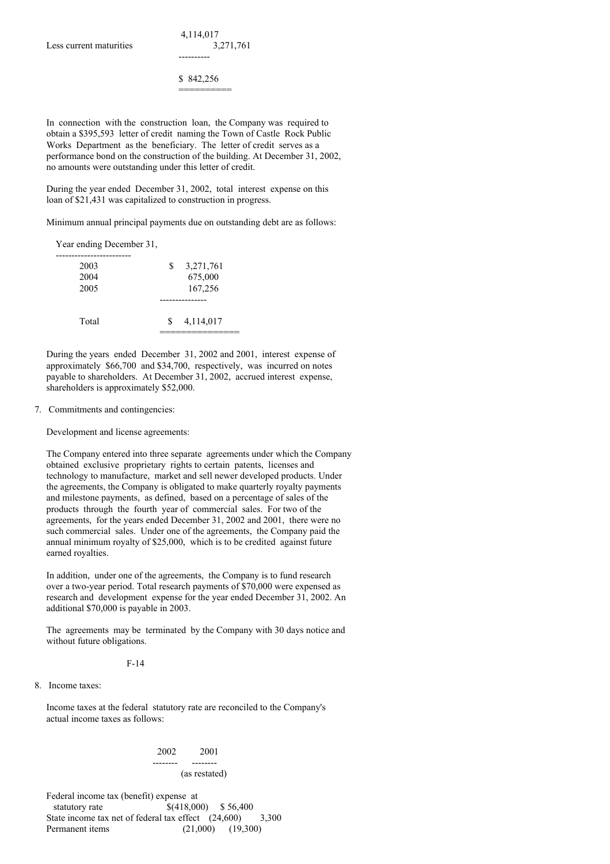\$ 842,256 ==========

----------

In connection with the construction loan, the Company was required to obtain a \$395,593 letter of credit naming the Town of Castle Rock Public Works Department as the beneficiary. The letter of credit serves as a performance bond on the construction of the building. At December 31, 2002, no amounts were outstanding under this letter of credit.

During the year ended December 31, 2002, total interest expense on this loan of \$21,431 was capitalized to construction in progress.

Minimum annual principal payments due on outstanding debt are as follows:

Year ending December 31,

| 2003<br>2004<br>2005 | 3,271,761<br>\$<br>675,000<br>167,256 |
|----------------------|---------------------------------------|
|                      | --------                              |
| Total                | 4,114,017<br><sup>\$</sup>            |

During the years ended December 31, 2002 and 2001, interest expense of approximately \$66,700 and \$34,700, respectively, was incurred on notes payable to shareholders. At December 31, 2002, accrued interest expense, shareholders is approximately \$52,000.

## 7. Commitments and contingencies:

Development and license agreements:

The Company entered into three separate agreements under which the Company obtained exclusive proprietary rights to certain patents, licenses and technology to manufacture, market and sell newer developed products. Under the agreements, the Company is obligated to make quarterly royalty payments and milestone payments, as defined, based on a percentage of sales of the products through the fourth year of commercial sales. For two of the agreements, for the years ended December 31, 2002 and 2001, there were no such commercial sales. Under one of the agreements, the Company paid the annual minimum royalty of \$25,000, which is to be credited against future earned royalties.

In addition, under one of the agreements, the Company is to fund research over a two-year period. Total research payments of \$70,000 were expensed as research and development expense for the year ended December 31, 2002. An additional \$70,000 is payable in 2003.

The agreements may be terminated by the Company with 30 days notice and without future obligations.

F-14

8. Income taxes:

Income taxes at the federal statutory rate are reconciled to the Company's actual income taxes as follows:

### 2002 2001

#### -------- -------- (as restated)

Federal income tax (benefit) expense at statutory rate  $\qquad \qquad$  \$(418,000) \$ 56,400 State income tax net of federal tax effect (24,600) 3,300 Permanent items (21,000) (19,300)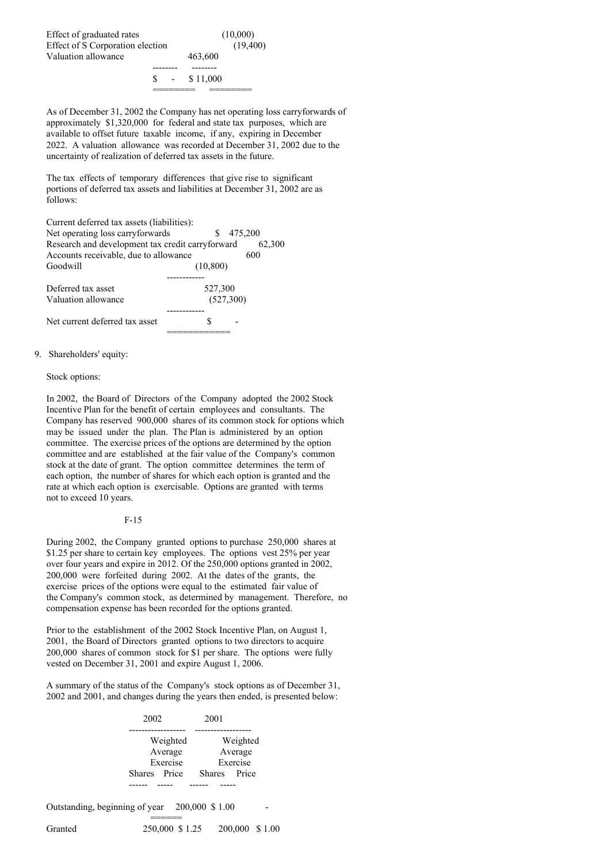Effect of graduated rates (10,000) Effect of S Corporation election (19,400) Valuation allowance  $463,600$ -------- --------

\$ - \$ 11,000 ======== ========

As of December 31, 2002 the Company has net operating loss carryforwards of approximately \$1,320,000 for federal and state tax purposes, which are available to offset future taxable income, if any, expiring in December 2022. A valuation allowance was recorded at December 31, 2002 due to the uncertainty of realization of deferred tax assets in the future.

The tax effects of temporary differences that give rise to significant portions of deferred tax assets and liabilities at December 31, 2002 are as follows:

| Current deferred tax assets (liabilities):       |               |
|--------------------------------------------------|---------------|
| Net operating loss carryforwards                 | 475,200<br>S. |
| Research and development tax credit carryforward | 62,300        |
| Accounts receivable, due to allowance            | 600           |
| Goodwill                                         | (10, 800)     |
|                                                  |               |
| Deferred tax asset                               | 527,300       |
| Valuation allowance                              | (527,300)     |
|                                                  |               |
| Net current deferred tax asset                   |               |
|                                                  |               |

### 9. Shareholders' equity:

### Stock options:

In 2002, the Board of Directors of the Company adopted the 2002 Stock Incentive Plan for the benefit of certain employees and consultants. The Company has reserved 900,000 shares of its common stock for options which may be issued under the plan. The Plan is administered by an option committee. The exercise prices of the options are determined by the option committee and are established at the fair value of the Company's common stock at the date of grant. The option committee determines the term of each option, the number of shares for which each option is granted and the rate at which each option is exercisable. Options are granted with terms not to exceed 10 years.

### F-15

During 2002, the Company granted options to purchase 250,000 shares at \$1.25 per share to certain key employees. The options vest 25% per year over four years and expire in 2012. Of the 250,000 options granted in 2002, 200,000 were forfeited during 2002. At the dates of the grants, the exercise prices of the options were equal to the estimated fair value of the Company's common stock, as determined by management. Therefore, no compensation expense has been recorded for the options granted.

Prior to the establishment of the 2002 Stock Incentive Plan, on August 1, 2001, the Board of Directors granted options to two directors to acquire 200,000 shares of common stock for \$1 per share. The options were fully vested on December 31, 2001 and expire August 1, 2006.

A summary of the status of the Company's stock options as of December 31, 2002 and 2001, and changes during the years then ended, is presented below:

|                                               | 2002                                            | 2001                                            |  |
|-----------------------------------------------|-------------------------------------------------|-------------------------------------------------|--|
|                                               | Weighted<br>Average<br>Exercise<br>Shares Price | Weighted<br>Average<br>Exercise<br>Shares Price |  |
| Outstanding, beginning of year 200,000 \$1.00 |                                                 |                                                 |  |
| Granted                                       | 250,000 \$ 1.25                                 | 200,000 \$1.00                                  |  |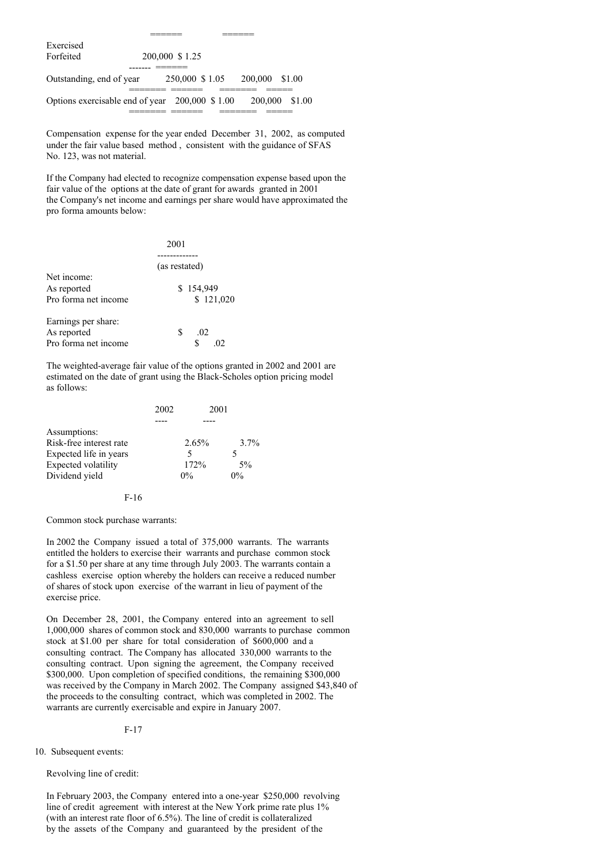| Exercised                                      |                 |                |                |
|------------------------------------------------|-----------------|----------------|----------------|
| Forfeited                                      | 200,000 \$1.25  |                |                |
|                                                |                 |                |                |
| Outstanding, end of year                       | 250,000 \$ 1.05 | 200,000 \$1.00 |                |
| Options exercisable end of year 200,000 \$1.00 |                 |                | 200,000 \$1.00 |
|                                                |                 |                |                |

Compensation expense for the year ended December 31, 2002, as computed under the fair value based method , consistent with the guidance of SFAS No. 123, was not material.

====== ======

If the Company had elected to recognize compensation expense based upon the fair value of the options at the date of grant for awards granted in 2001 the Company's net income and earnings per share would have approximated the pro forma amounts below:

|                      | 2001          |
|----------------------|---------------|
|                      |               |
|                      | (as restated) |
| Net income:          |               |
| As reported          | \$154,949     |
| Pro forma net income | \$121,020     |
| Earnings per share:  |               |
| As reported          | S<br>.02      |
| Pro forma net income |               |

The weighted-average fair value of the options granted in 2002 and 2001 are estimated on the date of grant using the Black-Scholes option pricing model as follows:

| 2002 |          |       |
|------|----------|-------|
|      |          |       |
|      |          |       |
|      | $2.65\%$ | 3.7%  |
|      | 5        |       |
|      | 172%     | 5%    |
|      | $0\%$    | $0\%$ |
|      |          | 2001  |

F-16

Common stock purchase warrants:

In 2002 the Company issued a total of 375,000 warrants. The warrants entitled the holders to exercise their warrants and purchase common stock for a \$1.50 per share at any time through July 2003. The warrants contain a cashless exercise option whereby the holders can receive a reduced number of shares of stock upon exercise of the warrant in lieu of payment of the exercise price.

On December 28, 2001, the Company entered into an agreement to sell 1,000,000 shares of common stock and 830,000 warrants to purchase common stock at \$1.00 per share for total consideration of \$600,000 and a consulting contract. The Company has allocated 330,000 warrants to the consulting contract. Upon signing the agreement, the Company received \$300,000. Upon completion of specified conditions, the remaining \$300,000 was received by the Company in March 2002. The Company assigned \$43,840 of the proceeds to the consulting contract, which was completed in 2002. The warrants are currently exercisable and expire in January 2007.

### F-17

10. Subsequent events:

# Revolving line of credit:

In February 2003, the Company entered into a one-year \$250,000 revolving line of credit agreement with interest at the New York prime rate plus 1% (with an interest rate floor of 6.5%). The line of credit is collateralized by the assets of the Company and guaranteed by the president of the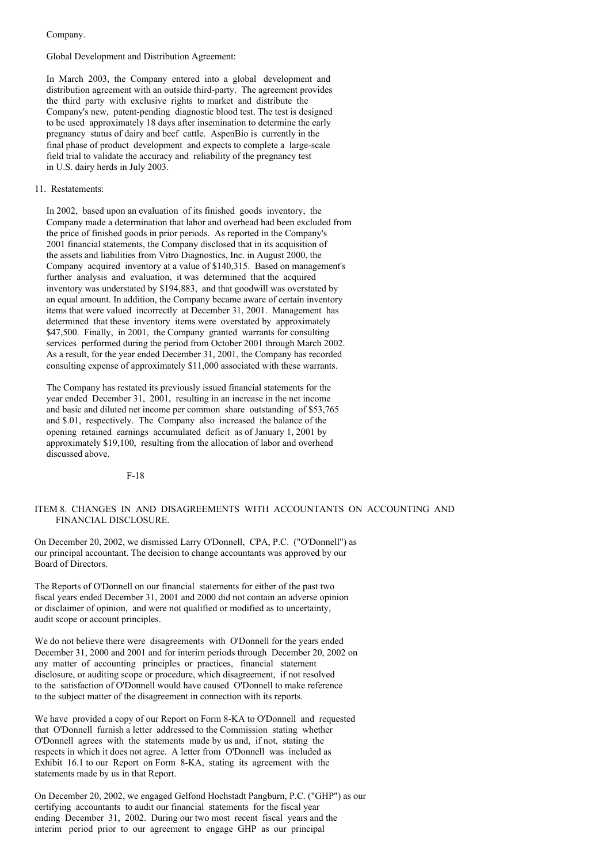Company.

#### Global Development and Distribution Agreement:

In March 2003, the Company entered into a global development and distribution agreement with an outside third-party. The agreement provides the third party with exclusive rights to market and distribute the Company's new, patent-pending diagnostic blood test. The test is designed to be used approximately 18 days after insemination to determine the early pregnancy status of dairy and beef cattle. AspenBio is currently in the final phase of product development and expects to complete a large-scale field trial to validate the accuracy and reliability of the pregnancy test in U.S. dairy herds in July 2003.

#### 11. Restatements:

In 2002, based upon an evaluation of its finished goods inventory, the Company made a determination that labor and overhead had been excluded from the price of finished goods in prior periods. As reported in the Company's 2001 financial statements, the Company disclosed that in its acquisition of the assets and liabilities from Vitro Diagnostics, Inc. in August 2000, the Company acquired inventory at a value of \$140,315. Based on management's further analysis and evaluation, it was determined that the acquired inventory was understated by \$194,883, and that goodwill was overstated by an equal amount. In addition, the Company became aware of certain inventory items that were valued incorrectly at December 31, 2001. Management has determined that these inventory items were overstated by approximately \$47,500. Finally, in 2001, the Company granted warrants for consulting services performed during the period from October 2001 through March 2002. As a result, for the year ended December 31, 2001, the Company has recorded consulting expense of approximately \$11,000 associated with these warrants.

The Company has restated its previously issued financial statements for the year ended December 31, 2001, resulting in an increase in the net income and basic and diluted net income per common share outstanding of \$53,765 and \$.01, respectively. The Company also increased the balance of the opening retained earnings accumulated deficit as of January 1, 2001 by approximately \$19,100, resulting from the allocation of labor and overhead discussed above.

F-18

## ITEM 8. CHANGES IN AND DISAGREEMENTS WITH ACCOUNTANTS ON ACCOUNTING AND FINANCIAL DISCLOSURE.

On December 20, 2002, we dismissed Larry O'Donnell, CPA, P.C. ("O'Donnell") as our principal accountant. The decision to change accountants was approved by our Board of Directors.

The Reports of O'Donnell on our financial statements for either of the past two fiscal years ended December 31, 2001 and 2000 did not contain an adverse opinion or disclaimer of opinion, and were not qualified or modified as to uncertainty, audit scope or account principles.

We do not believe there were disagreements with O'Donnell for the years ended December 31, 2000 and 2001 and for interim periods through December 20, 2002 on any matter of accounting principles or practices, financial statement disclosure, or auditing scope or procedure, which disagreement, if not resolved to the satisfaction of O'Donnell would have caused O'Donnell to make reference to the subject matter of the disagreement in connection with its reports.

We have provided a copy of our Report on Form 8-KA to O'Donnell and requested that O'Donnell furnish a letter addressed to the Commission stating whether O'Donnell agrees with the statements made by us and, if not, stating the respects in which it does not agree. A letter from O'Donnell was included as Exhibit 16.1 to our Report on Form 8-KA, stating its agreement with the statements made by us in that Report.

On December 20, 2002, we engaged Gelfond Hochstadt Pangburn, P.C. ("GHP") as our certifying accountants to audit our financial statements for the fiscal year ending December 31, 2002. During our two most recent fiscal years and the interim period prior to our agreement to engage GHP as our principal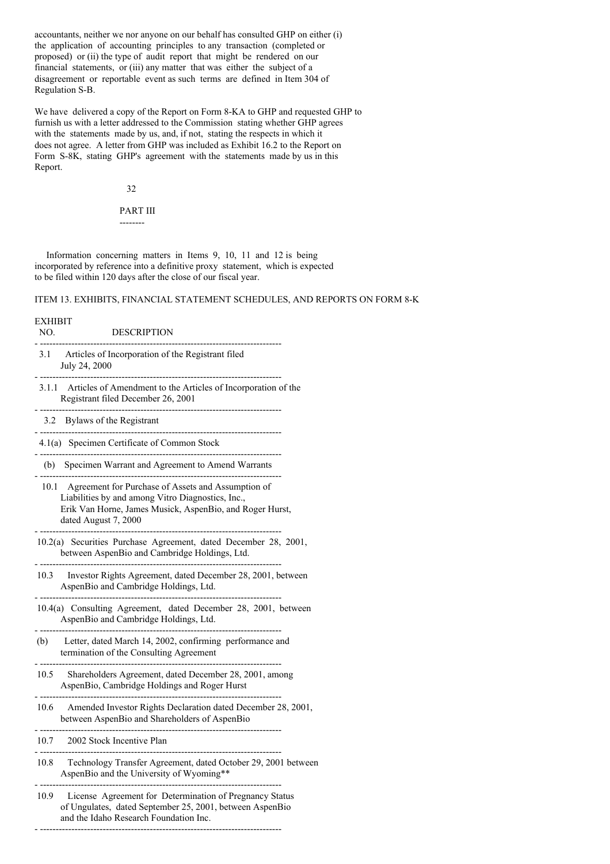accountants, neither we nor anyone on our behalf has consulted GHP on either (i) the application of accounting principles to any transaction (completed or proposed) or (ii) the type of audit report that might be rendered on our financial statements, or (iii) any matter that was either the subject of a disagreement or reportable event as such terms are defined in Item 304 of Regulation S-B.

We have delivered a copy of the Report on Form 8-KA to GHP and requested GHP to furnish us with a letter addressed to the Commission stating whether GHP agrees with the statements made by us, and, if not, stating the respects in which it does not agree. A letter from GHP was included as Exhibit 16.2 to the Report on Form S-8K, stating GHP's agreement with the statements made by us in this Report.

32

PART III --------

Information concerning matters in Items 9, 10, 11 and 12 is being incorporated by reference into a definitive proxy statement, which is expected to be filed within 120 days after the close of our fiscal year.

# ITEM 13. EXHIBITS, FINANCIAL STATEMENT SCHEDULES, AND REPORTS ON FORM 8-K

| <b>EXHIBIT</b><br>NO. | <b>DESCRIPTION</b>                                                                                                                                                                               |
|-----------------------|--------------------------------------------------------------------------------------------------------------------------------------------------------------------------------------------------|
|                       | 3.1 Articles of Incorporation of the Registrant filed<br>July 24, 2000                                                                                                                           |
|                       | 3.1.1 Articles of Amendment to the Articles of Incorporation of the<br>Registrant filed December 26, 2001                                                                                        |
|                       | 3.2 Bylaws of the Registrant                                                                                                                                                                     |
|                       | 4.1(a) Specimen Certificate of Common Stock                                                                                                                                                      |
|                       | (b) Specimen Warrant and Agreement to Amend Warrants                                                                                                                                             |
|                       | 10.1 Agreement for Purchase of Assets and Assumption of<br>Liabilities by and among Vitro Diagnostics, Inc.,<br>Erik Van Horne, James Musick, AspenBio, and Roger Hurst,<br>dated August 7, 2000 |
|                       | 10.2(a) Securities Purchase Agreement, dated December 28, 2001,<br>between AspenBio and Cambridge Holdings, Ltd.                                                                                 |
|                       | 10.3 Investor Rights Agreement, dated December 28, 2001, between<br>AspenBio and Cambridge Holdings, Ltd.                                                                                        |
|                       | --------------<br>10.4(a) Consulting Agreement, dated December 28, 2001, between<br>AspenBio and Cambridge Holdings, Ltd.                                                                        |
|                       | (b) Letter, dated March 14, 2002, confirming performance and<br>termination of the Consulting Agreement                                                                                          |
|                       | 10.5 Shareholders Agreement, dated December 28, 2001, among<br>AspenBio, Cambridge Holdings and Roger Hurst                                                                                      |
|                       | 10.6 Amended Investor Rights Declaration dated December 28, 2001,<br>between AspenBio and Shareholders of AspenBio                                                                               |
|                       | 10.7 2002 Stock Incentive Plan                                                                                                                                                                   |
|                       | 10.8 Technology Transfer Agreement, dated October 29, 2001 between<br>AspenBio and the University of Wyoming**                                                                                   |
|                       | 10.9 License Agreement for Determination of Pregnancy Status<br>of Ungulates, dated September 25, 2001, between AspenBio<br>and the Idaho Research Foundation Inc.                               |

- -----------------------------------------------------------------------------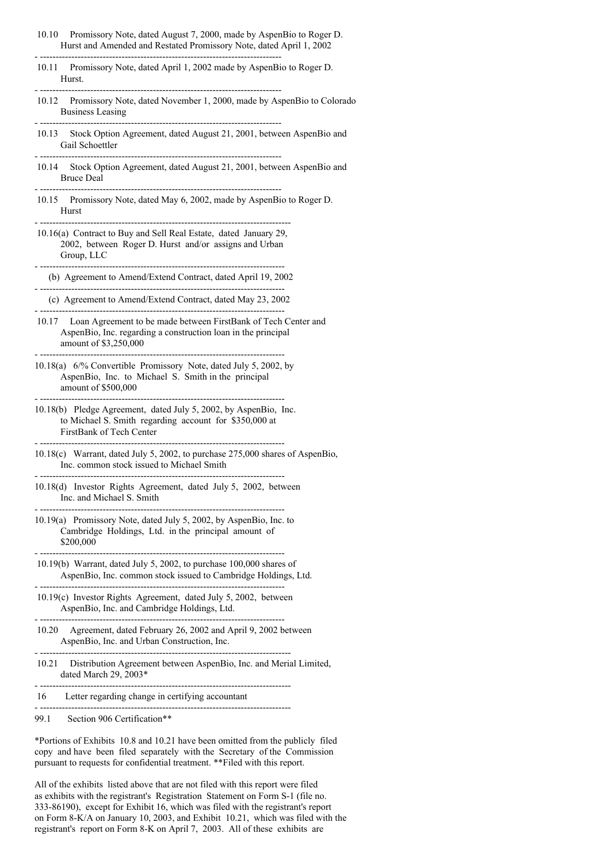- 10.10 Promissory Note, dated August 7, 2000, made by AspenBio to Roger D. Hurst and Amended and Restated Promissory Note, dated April 1, 2002
- 10.11 Promissory Note, dated April 1, 2002 made by AspenBio to Roger D. Hurst.

- -----------------------------------------------------------------------------

- -----------------------------------------------------------------------------

- -----------------------------------------------------------------------------

 $-$ 

10.12 Promissory Note, dated November 1, 2000, made by AspenBio to Colorado Business Leasing

- -----------------------------------------------------------------------------

- 10.13 Stock Option Agreement, dated August 21, 2001, between AspenBio and Gail Schoettler
- 10.14 Stock Option Agreement, dated August 21, 2001, between AspenBio and Bruce Deal
- 10.15 Promissory Note, dated May 6, 2002, made by AspenBio to Roger D. Hurst
- -------------------------------------------------------------------------------- 10.16(a) Contract to Buy and Sell Real Estate, dated January 29, 2002, between Roger D. Hurst and/or assigns and Urban Group, LLC
- ------------------------------------------------------------------------------ (b) Agreement to Amend/Extend Contract, dated April 19, 2002
- ------------------------------------------------------------------------------ (c) Agreement to Amend/Extend Contract, dated May 23, 2002 - ------------------------------------------------------------------------------
- 10.17 Loan Agreement to be made between FirstBank of Tech Center and AspenBio, Inc. regarding a construction loan in the principal amount of \$3,250,000

- ------------------------------------------------------------------------------

- 10.18(a) 6/% Convertible Promissory Note, dated July 5, 2002, by AspenBio, Inc. to Michael S. Smith in the principal amount of \$500,000
- 10.18(b) Pledge Agreement, dated July 5, 2002, by AspenBio, Inc. to Michael S. Smith regarding account for \$350,000 at FirstBank of Tech Center - ------------------------------------------------------------------------------

- ------------------------------------------------------------------------------

- 10.18(c) Warrant, dated July 5, 2002, to purchase 275,000 shares of AspenBio, Inc. common stock issued to Michael Smith
- 10.18(d) Investor Rights Agreement, dated July 5, 2002, between Inc. and Michael S. Smith

- ------------------------------------------------------------------------------

- ------------------------------------------------------------------------------

- 10.19(a) Promissory Note, dated July 5, 2002, by AspenBio, Inc. to Cambridge Holdings, Ltd. in the principal amount of \$200,000
- ------------------------------------------------------------------------------ 10.19(b) Warrant, dated July 5, 2002, to purchase 100,000 shares of AspenBio, Inc. common stock issued to Cambridge Holdings, Ltd.
- ------------------------------------------------------------------------------ 10.19(c) Investor Rights Agreement, dated July 5, 2002, between AspenBio, Inc. and Cambridge Holdings, Ltd. - ------------------------------------------------------------------------------
- 10.20 Agreement, dated February 26, 2002 and April 9, 2002 between AspenBio, Inc. and Urban Construction, Inc.
- -------------------------------------------------------------------------------- 10.21 Distribution Agreement between AspenBio, Inc. and Merial Limited, dated March 29, 2003\*
- -------------------------------------------------------------------------------- 16 Letter regarding change in certifying accountant
- --------------------------------------------------------------------------------
- 99.1 Section 906 Certification\*\*

\*Portions of Exhibits 10.8 and 10.21 have been omitted from the publicly filed copy and have been filed separately with the Secretary of the Commission pursuant to requests for confidential treatment. \*\*Filed with this report.

All of the exhibits listed above that are not filed with this report were filed as exhibits with the registrant's Registration Statement on Form S-1 (file no. 333-86190), except for Exhibit 16, which was filed with the registrant's report on Form 8-K/A on January 10, 2003, and Exhibit 10.21, which was filed with the registrant's report on Form 8-K on April 7, 2003. All of these exhibits are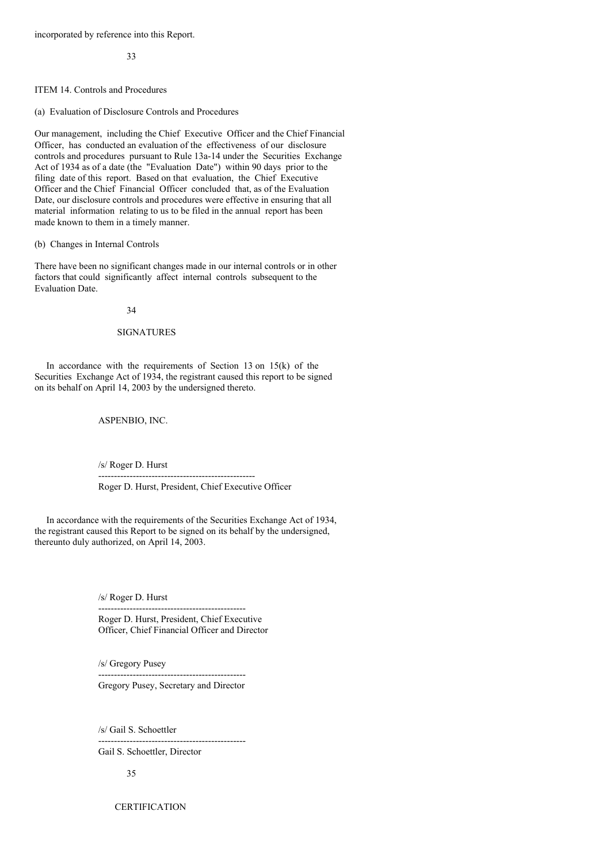incorporated by reference into this Report.

33

ITEM 14. Controls and Procedures

(a) Evaluation of Disclosure Controls and Procedures

Our management, including the Chief Executive Officer and the Chief Financial Officer, has conducted an evaluation of the effectiveness of our disclosure controls and procedures pursuant to Rule 13a-14 under the Securities Exchange Act of 1934 as of a date (the "Evaluation Date") within 90 days prior to the filing date of this report. Based on that evaluation, the Chief Executive Officer and the Chief Financial Officer concluded that, as of the Evaluation Date, our disclosure controls and procedures were effective in ensuring that all material information relating to us to be filed in the annual report has been made known to them in a timely manner.

(b) Changes in Internal Controls

There have been no significant changes made in our internal controls or in other factors that could significantly affect internal controls subsequent to the Evaluation Date.

34

## SIGNATURES

In accordance with the requirements of Section 13 on  $15(k)$  of the Securities Exchange Act of 1934, the registrant caused this report to be signed on its behalf on April 14, 2003 by the undersigned thereto.

ASPENBIO, INC.

/s/ Roger D. Hurst

Roger D. Hurst, President, Chief Executive Officer

In accordance with the requirements of the Securities Exchange Act of 1934, the registrant caused this Report to be signed on its behalf by the undersigned, thereunto duly authorized, on April 14, 2003.

--------------------------------------------------

/s/ Roger D. Hurst

----------------------------------------------- Roger D. Hurst, President, Chief Executive Officer, Chief Financial Officer and Director

/s/ Gregory Pusey

----------------------------------------------- Gregory Pusey, Secretary and Director

-----------------------------------------------

/s/ Gail S. Schoettler

Gail S. Schoettler, Director

35

**CERTIFICATION**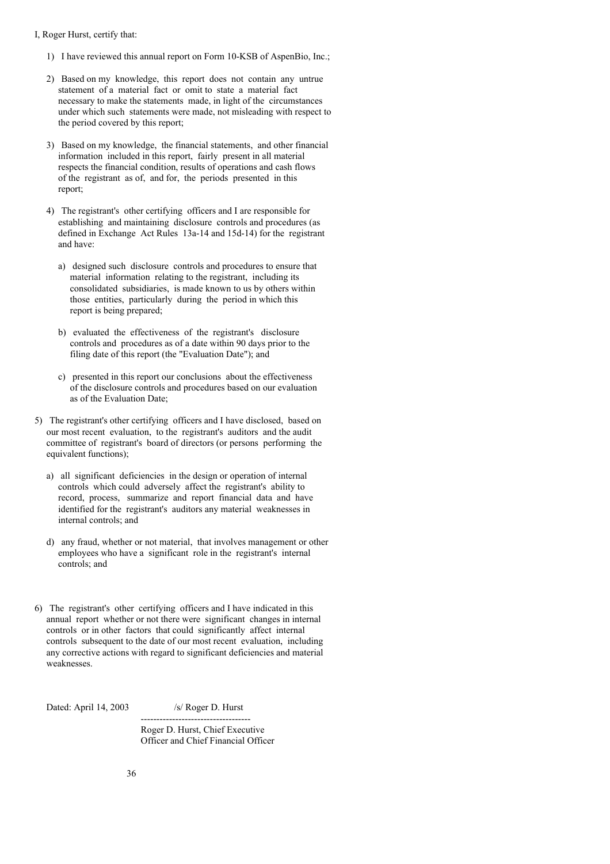### I, Roger Hurst, certify that:

- 1) I have reviewed this annual report on Form 10-KSB of AspenBio, Inc.;
- 2) Based on my knowledge, this report does not contain any untrue statement of a material fact or omit to state a material fact necessary to make the statements made, in light of the circumstances under which such statements were made, not misleading with respect to the period covered by this report;
- 3) Based on my knowledge, the financial statements, and other financial information included in this report, fairly present in all material respects the financial condition, results of operations and cash flows of the registrant as of, and for, the periods presented in this report;
- 4) The registrant's other certifying officers and I are responsible for establishing and maintaining disclosure controls and procedures (as defined in Exchange Act Rules 13a-14 and 15d-14) for the registrant and have:
	- a) designed such disclosure controls and procedures to ensure that material information relating to the registrant, including its consolidated subsidiaries, is made known to us by others within those entities, particularly during the period in which this report is being prepared;
	- b) evaluated the effectiveness of the registrant's disclosure controls and procedures as of a date within 90 days prior to the filing date of this report (the "Evaluation Date"); and
	- c) presented in this report our conclusions about the effectiveness of the disclosure controls and procedures based on our evaluation as of the Evaluation Date;
- 5) The registrant's other certifying officers and I have disclosed, based on our most recent evaluation, to the registrant's auditors and the audit committee of registrant's board of directors (or persons performing the equivalent functions);
	- a) all significant deficiencies in the design or operation of internal controls which could adversely affect the registrant's ability to record, process, summarize and report financial data and have identified for the registrant's auditors any material weaknesses in internal controls; and
	- d) any fraud, whether or not material, that involves management or other employees who have a significant role in the registrant's internal controls; and
- 6) The registrant's other certifying officers and I have indicated in this annual report whether or not there were significant changes in internal controls or in other factors that could significantly affect internal controls subsequent to the date of our most recent evaluation, including any corrective actions with regard to significant deficiencies and material weaknesses.

Dated: April 14, 2003 /s/ Roger D. Hurst

Roger D. Hurst, Chief Executive Officer and Chief Financial Officer

-----------------------------------